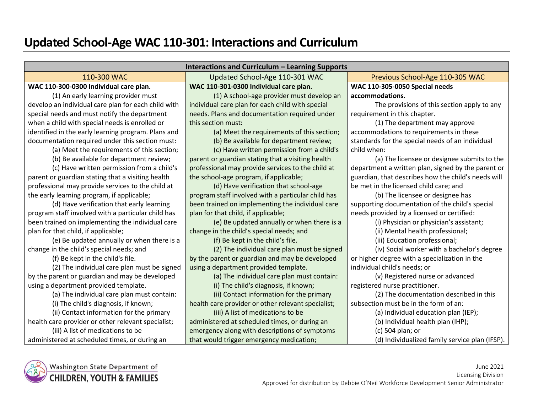# **Updated School-Age WAC 110-301: Interactions and Curriculum**

| Interactions and Curriculum - Learning Supports     |                                                    |                                                     |
|-----------------------------------------------------|----------------------------------------------------|-----------------------------------------------------|
| 110-300 WAC                                         | Updated School-Age 110-301 WAC                     | Previous School-Age 110-305 WAC                     |
| WAC 110-300-0300 Individual care plan.              | WAC 110-301-0300 Individual care plan.             | WAC 110-305-0050 Special needs                      |
| (1) An early learning provider must                 | (1) A school-age provider must develop an          | accommodations.                                     |
| develop an individual care plan for each child with | individual care plan for each child with special   | The provisions of this section apply to any         |
| special needs and must notify the department        | needs. Plans and documentation required under      | requirement in this chapter.                        |
| when a child with special needs is enrolled or      | this section must:                                 | (1) The department may approve                      |
| identified in the early learning program. Plans and | (a) Meet the requirements of this section;         | accommodations to requirements in these             |
| documentation required under this section must:     | (b) Be available for department review;            | standards for the special needs of an individual    |
| (a) Meet the requirements of this section;          | (c) Have written permission from a child's         | child when:                                         |
| (b) Be available for department review;             | parent or guardian stating that a visiting health  | (a) The licensee or designee submits to the         |
| (c) Have written permission from a child's          | professional may provide services to the child at  | department a written plan, signed by the parent or  |
| parent or guardian stating that a visiting health   | the school-age program, if applicable;             | guardian, that describes how the child's needs will |
| professional may provide services to the child at   | (d) Have verification that school-age              | be met in the licensed child care; and              |
| the early learning program, if applicable;          | program staff involved with a particular child has | (b) The licensee or designee has                    |
| (d) Have verification that early learning           | been trained on implementing the individual care   | supporting documentation of the child's special     |
| program staff involved with a particular child has  | plan for that child, if applicable;                | needs provided by a licensed or certified:          |
| been trained on implementing the individual care    | (e) Be updated annually or when there is a         | (i) Physician or physician's assistant;             |
| plan for that child, if applicable;                 | change in the child's special needs; and           | (ii) Mental health professional;                    |
| (e) Be updated annually or when there is a          | (f) Be kept in the child's file.                   | (iii) Education professional;                       |
| change in the child's special needs; and            | (2) The individual care plan must be signed        | (iv) Social worker with a bachelor's degree         |
| (f) Be kept in the child's file.                    | by the parent or guardian and may be developed     | or higher degree with a specialization in the       |
| (2) The individual care plan must be signed         | using a department provided template.              | individual child's needs; or                        |
| by the parent or guardian and may be developed      | (a) The individual care plan must contain:         | (v) Registered nurse or advanced                    |
| using a department provided template.               | (i) The child's diagnosis, if known;               | registered nurse practitioner.                      |
| (a) The individual care plan must contain:          | (ii) Contact information for the primary           | (2) The documentation described in this             |
| (i) The child's diagnosis, if known;                | health care provider or other relevant specialist; | subsection must be in the form of an:               |
| (ii) Contact information for the primary            | (iii) A list of medications to be                  | (a) Individual education plan (IEP);                |
| health care provider or other relevant specialist;  | administered at scheduled times, or during an      | (b) Individual health plan (IHP);                   |
| (iii) A list of medications to be                   | emergency along with descriptions of symptoms      | (c) 504 plan; or                                    |
| administered at scheduled times, or during an       | that would trigger emergency medication;           | (d) Individualized family service plan (IFSP).      |

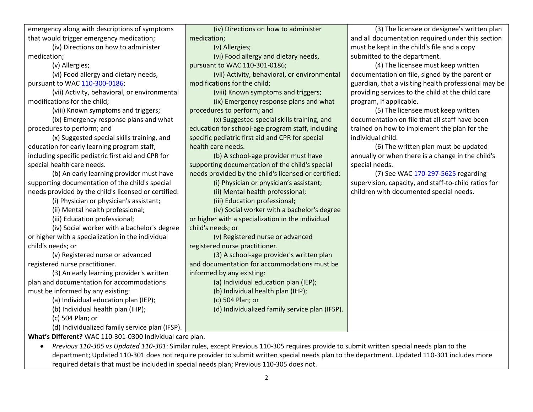emergency along with descriptions of symptoms that would trigger emergency medication;

(iv) Directions on how to administer medication;

(v) Allergies;

(vi) Food allergy and dietary needs,

pursuant to WAC [110-300-0186;](https://apps.leg.wa.gov/wac/default.aspx?cite=110-300-0186)

(vii) Activity, behavioral, or environmental modifications for the child;

(viii) Known symptoms and triggers;

(ix) Emergency response plans and what procedures to perform; and

(x) Suggested special skills training, and education for early learning program staff, including specific pediatric first aid and CPR for special health care needs.

(b) An early learning provider must have supporting documentation of the child's special needs provided by the child's licensed or certified:

(i) Physician or physician's assistant;

(ii) Mental health professional;

(iii) Education professional;

(iv) Social worker with a bachelor's degree or higher with a specialization in the individual child's needs; or

regis

plan and documentation for accommodations must be informed by any existing:

| (v) Registered nurse or advanced               | (3) A school-age provider's written plan       |
|------------------------------------------------|------------------------------------------------|
| stered nurse practitioner.                     | and documentation for accommodations must be   |
| (3) An early learning provider's written       | informed by any existing:                      |
| and documentation for accommodations           | (a) Individual education plan (IEP);           |
| st be informed by any existing:                | (b) Individual health plan (IHP);              |
| (a) Individual education plan (IEP);           | (c) 504 Plan; or                               |
| (b) Individual health plan (IHP);              | (d) Individualized family service plan (IFSP). |
| (c) 504 Plan; or                               |                                                |
| (d) Individualized family service plan (IFSP). |                                                |

(3) The licensee or designee's written plan and all documentation required under this section must be kept in the child's file and a copy submitted to the department.

(4) The licensee must keep written documentation on file, signed by the parent or guardian, that a visiting health professional may be providing services to the child at the child care program, if applicable.

(5) The licensee must keep written documentation on file that all staff have been trained on how to implement the plan for the individual child.

(6) The written plan must be updated annually or when there is a change in the child's special needs.

(7) See WAC [170-297-5625](https://apps.leg.wa.gov/wac/default.aspx?cite=170-297-5625) regarding supervision, capacity, and staff-to-child ratios for children with documented special needs.

**What's Different?** WAC 110-301-0300 Individual care plan.

 *Previous 110-305 vs Updated 110-301*: Similar rules, except Previous 110-305 requires provide to submit written special needs plan to the department; Updated 110-301 does not require provider to submit written special needs plan to the department. Updated 110-301 includes more required details that must be included in special needs plan; Previous 110-305 does not.

(iv) Directions on how to administer

(vi) Food allergy and dietary needs,

(viii) Known symptoms and triggers; (ix) Emergency response plans and what

(x) Suggested special skills training, and education for school-age program staff, including specific pediatric first aid and CPR for special

(b) A school-age provider must have supporting documentation of the child's special needs provided by the child's licensed or certified: (i) Physician or physician's assistant; (ii) Mental health professional; (iii) Education professional;

(iv) Social worker with a bachelor's degree

or higher with a specialization in the individual

(v) Registered nurse or advanced

(vii) Activity, behavioral, or environmental

medication;

(v) Allergies;

modifications for the child;

procedures to perform; and

health care needs.

child's needs; or

registered nurse practitioner.

pursuant to WAC 110-301-0186;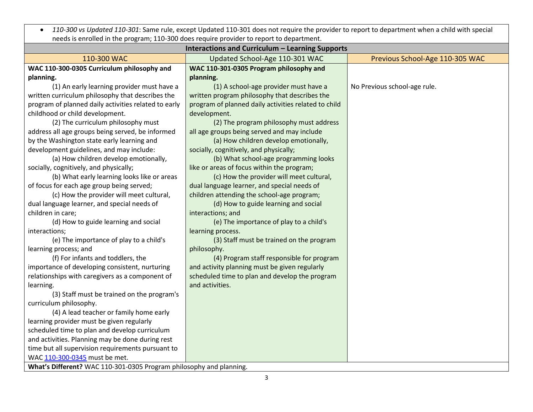*110-300 vs Updated 110-301*: Same rule, except Updated 110-301 does not require the provider to report to department when a child with special needs is enrolled in the program; 110-300 does require provider to report to department.

| <b>Interactions and Curriculum - Learning Supports</b>              |                                                      |                                 |
|---------------------------------------------------------------------|------------------------------------------------------|---------------------------------|
| 110-300 WAC                                                         | Updated School-Age 110-301 WAC                       | Previous School-Age 110-305 WAC |
| WAC 110-300-0305 Curriculum philosophy and                          | WAC 110-301-0305 Program philosophy and              |                                 |
| planning.                                                           | planning.                                            |                                 |
| (1) An early learning provider must have a                          | (1) A school-age provider must have a                | No Previous school-age rule.    |
| written curriculum philosophy that describes the                    | written program philosophy that describes the        |                                 |
| program of planned daily activities related to early                | program of planned daily activities related to child |                                 |
| childhood or child development.                                     | development.                                         |                                 |
| (2) The curriculum philosophy must                                  | (2) The program philosophy must address              |                                 |
| address all age groups being served, be informed                    | all age groups being served and may include          |                                 |
| by the Washington state early learning and                          | (a) How children develop emotionally,                |                                 |
| development guidelines, and may include:                            | socially, cognitively, and physically;               |                                 |
| (a) How children develop emotionally,                               | (b) What school-age programming looks                |                                 |
| socially, cognitively, and physically;                              | like or areas of focus within the program;           |                                 |
| (b) What early learning looks like or areas                         | (c) How the provider will meet cultural,             |                                 |
| of focus for each age group being served;                           | dual language learner, and special needs of          |                                 |
| (c) How the provider will meet cultural,                            | children attending the school-age program;           |                                 |
| dual language learner, and special needs of                         | (d) How to guide learning and social                 |                                 |
| children in care;                                                   | interactions; and                                    |                                 |
| (d) How to guide learning and social                                | (e) The importance of play to a child's              |                                 |
| interactions;                                                       | learning process.                                    |                                 |
| (e) The importance of play to a child's                             | (3) Staff must be trained on the program             |                                 |
| learning process; and                                               | philosophy.                                          |                                 |
| (f) For infants and toddlers, the                                   | (4) Program staff responsible for program            |                                 |
| importance of developing consistent, nurturing                      | and activity planning must be given regularly        |                                 |
| relationships with caregivers as a component of                     | scheduled time to plan and develop the program       |                                 |
| learning.                                                           | and activities.                                      |                                 |
| (3) Staff must be trained on the program's                          |                                                      |                                 |
| curriculum philosophy.                                              |                                                      |                                 |
| (4) A lead teacher or family home early                             |                                                      |                                 |
| learning provider must be given regularly                           |                                                      |                                 |
| scheduled time to plan and develop curriculum                       |                                                      |                                 |
| and activities. Planning may be done during rest                    |                                                      |                                 |
| time but all supervision requirements pursuant to                   |                                                      |                                 |
| WAC 110-300-0345 must be met.                                       |                                                      |                                 |
| What's Different? WAC 110-301-0305 Program philosophy and planning. |                                                      |                                 |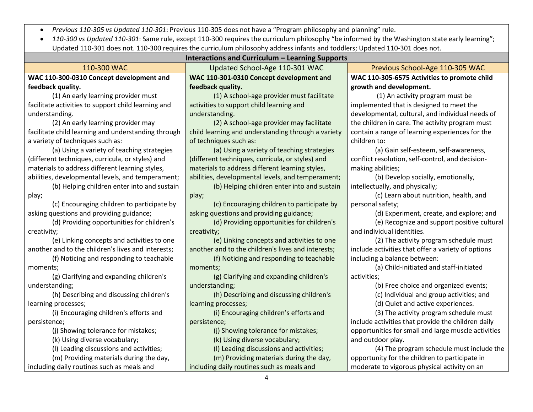*Previous 110-305 vs Updated 110-301*: Previous 110-305 does not have a "Program philosophy and planning" rule.

 *110-300 vs Updated 110-301*: Same rule, except 110-300 requires the curriculum philosophy "be informed by the Washington state early learning"; Updated 110-301 does not. 110-300 requires the curriculum philosophy address infants and toddlers; Updated 110-301 does not.

| Interactions and Curriculum - Learning Supports     |                                                    |                                                     |
|-----------------------------------------------------|----------------------------------------------------|-----------------------------------------------------|
| 110-300 WAC                                         | Updated School-Age 110-301 WAC                     | Previous School-Age 110-305 WAC                     |
| WAC 110-300-0310 Concept development and            | WAC 110-301-0310 Concept development and           | WAC 110-305-6575 Activities to promote child        |
| feedback quality.                                   | feedback quality.                                  | growth and development.                             |
| (1) An early learning provider must                 | (1) A school-age provider must facilitate          | (1) An activity program must be                     |
| facilitate activities to support child learning and | activities to support child learning and           | implemented that is designed to meet the            |
| understanding.                                      | understanding.                                     | developmental, cultural, and individual needs of    |
| (2) An early learning provider may                  | (2) A school-age provider may facilitate           | the children in care. The activity program must     |
| facilitate child learning and understanding through | child learning and understanding through a variety | contain a range of learning experiences for the     |
| a variety of techniques such as:                    | of techniques such as:                             | children to:                                        |
| (a) Using a variety of teaching strategies          | (a) Using a variety of teaching strategies         | (a) Gain self-esteem, self-awareness,               |
| (different techniques, curricula, or styles) and    | (different techniques, curricula, or styles) and   | conflict resolution, self-control, and decision-    |
| materials to address different learning styles,     | materials to address different learning styles,    | making abilities;                                   |
| abilities, developmental levels, and temperament;   | abilities, developmental levels, and temperament;  | (b) Develop socially, emotionally,                  |
| (b) Helping children enter into and sustain         | (b) Helping children enter into and sustain        | intellectually, and physically;                     |
| play;                                               | play;                                              | (c) Learn about nutrition, health, and              |
| (c) Encouraging children to participate by          | (c) Encouraging children to participate by         | personal safety;                                    |
| asking questions and providing guidance;            | asking questions and providing guidance;           | (d) Experiment, create, and explore; and            |
| (d) Providing opportunities for children's          | (d) Providing opportunities for children's         | (e) Recognize and support positive cultural         |
| creativity;                                         | creativity;                                        | and individual identities.                          |
| (e) Linking concepts and activities to one          | (e) Linking concepts and activities to one         | (2) The activity program schedule must              |
| another and to the children's lives and interests;  | another and to the children's lives and interests; | include activities that offer a variety of options  |
| (f) Noticing and responding to teachable            | (f) Noticing and responding to teachable           | including a balance between:                        |
| moments;                                            | moments;                                           | (a) Child-initiated and staff-initiated             |
| (g) Clarifying and expanding children's             | (g) Clarifying and expanding children's            | activities;                                         |
| understanding;                                      | understanding;                                     | (b) Free choice and organized events;               |
| (h) Describing and discussing children's            | (h) Describing and discussing children's           | (c) Individual and group activities; and            |
| learning processes;                                 | learning processes;                                | (d) Quiet and active experiences.                   |
| (i) Encouraging children's efforts and              | (i) Encouraging children's efforts and             | (3) The activity program schedule must              |
| persistence;                                        | persistence;                                       | include activities that provide the children daily  |
| (j) Showing tolerance for mistakes;                 | (j) Showing tolerance for mistakes;                | opportunities for small and large muscle activities |
| (k) Using diverse vocabulary;                       | (k) Using diverse vocabulary;                      | and outdoor play.                                   |
| (I) Leading discussions and activities;             | (I) Leading discussions and activities;            | (4) The program schedule must include the           |
| (m) Providing materials during the day,             | (m) Providing materials during the day,            | opportunity for the children to participate in      |
| including daily routines such as meals and          | including daily routines such as meals and         | moderate to vigorous physical activity on an        |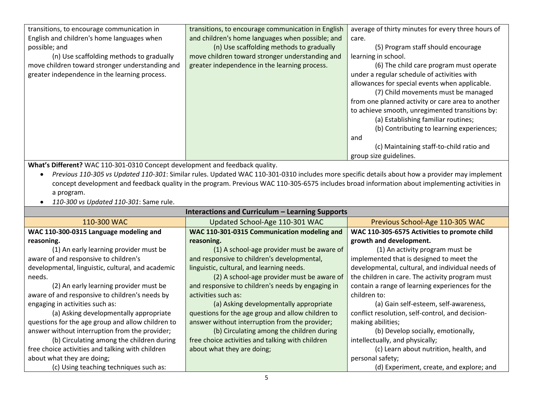| transitions, to encourage communication in      | transitions, to encourage communication in English | average of thirty minutes for every three hours of |
|-------------------------------------------------|----------------------------------------------------|----------------------------------------------------|
| English and children's home languages when      | and children's home languages when possible; and   | care.                                              |
| possible; and                                   | (n) Use scaffolding methods to gradually           | (5) Program staff should encourage                 |
| (n) Use scaffolding methods to gradually        | move children toward stronger understanding and    | learning in school.                                |
| move children toward stronger understanding and | greater independence in the learning process.      | (6) The child care program must operate            |
| greater independence in the learning process.   |                                                    | under a regular schedule of activities with        |
|                                                 |                                                    | allowances for special events when applicable.     |
|                                                 |                                                    | (7) Child movements must be managed                |
|                                                 |                                                    | from one planned activity or care area to another  |
|                                                 |                                                    | to achieve smooth, unregimented transitions by:    |
|                                                 |                                                    | (a) Establishing familiar routines;                |
|                                                 |                                                    | (b) Contributing to learning experiences;          |
|                                                 |                                                    | and                                                |
|                                                 |                                                    | (c) Maintaining staff-to-child ratio and           |
|                                                 |                                                    | group size guidelines.                             |

**What's Different?** WAC 110-301-0310 Concept development and feedback quality.

- *Previous 110-305 vs Updated 110-301*: Similar rules. Updated WAC 110-301-0310 includes more specific details about how a provider may implement concept development and feedback quality in the program. Previous WAC 110-305-6575 includes broad information about implementing activities in a program.
- *110-300 vs Updated 110-301*: Same rule.

| Interactions and Curriculum – Learning Supports   |                                                   |                                                  |
|---------------------------------------------------|---------------------------------------------------|--------------------------------------------------|
| 110-300 WAC                                       | Updated School-Age 110-301 WAC                    | Previous School-Age 110-305 WAC                  |
| WAC 110-300-0315 Language modeling and            | WAC 110-301-0315 Communication modeling and       | WAC 110-305-6575 Activities to promote child     |
| reasoning.                                        | reasoning.                                        | growth and development.                          |
| (1) An early learning provider must be            | (1) A school-age provider must be aware of        | (1) An activity program must be                  |
| aware of and responsive to children's             | and responsive to children's developmental,       | implemented that is designed to meet the         |
| developmental, linguistic, cultural, and academic | linguistic, cultural, and learning needs.         | developmental, cultural, and individual needs of |
| needs.                                            | (2) A school-age provider must be aware of        | the children in care. The activity program must  |
| (2) An early learning provider must be            | and responsive to children's needs by engaging in | contain a range of learning experiences for the  |
| aware of and responsive to children's needs by    | activities such as:                               | children to:                                     |
| engaging in activities such as:                   | (a) Asking developmentally appropriate            | (a) Gain self-esteem, self-awareness,            |
| (a) Asking developmentally appropriate            | questions for the age group and allow children to | conflict resolution, self-control, and decision- |
| questions for the age group and allow children to | answer without interruption from the provider;    | making abilities;                                |
| answer without interruption from the provider;    | (b) Circulating among the children during         | (b) Develop socially, emotionally,               |
| (b) Circulating among the children during         | free choice activities and talking with children  | intellectually, and physically;                  |
| free choice activities and talking with children  | about what they are doing;                        | (c) Learn about nutrition, health, and           |
| about what they are doing;                        |                                                   | personal safety;                                 |
| (c) Using teaching techniques such as:            |                                                   | (d) Experiment, create, and explore; and         |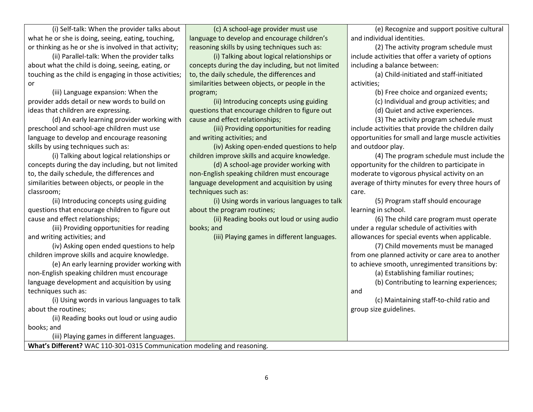(i) Self-talk: When the provider talks about what he or she is doing, seeing, eating, touching, or thinking as he or she is involved in that activity;

(ii) Parallel-talk: When the provider talks about what the child is doing, seeing, eating, or touching as the child is engaging in those activities; or

(iii) Language expansion: When the provider adds detail or new words to build on ideas that children are expressing.

(d) An early learning provider working with preschool and school-age children must use language to develop and encourage reasoning skills by using techniques such as:

(i) Talking about logical relationships or concepts during the day including, but not limited to, the daily schedule, the differences and similarities between objects, or people in the classroom;

(ii) Introducing concepts using guiding questions that encourage children to figure out cause and effect relationships;

(iii) Providing opportunities for reading and writing activities; and

(iv) Asking open ended questions to help children improve skills and acquire knowledge.

(e) An early learning provider working with non-English speaking children must encourage language development and acquisition by using techniques such as:

(i) Using words in various languages to talk about the routines;

(ii) Reading books out loud or using audio books; and

(iii) Playing games in different languages.

**What's Different?** WAC 110-301-0315 Communication modeling and reasoning.

(c) A school-age provider must use language to develop and encourage children's reasoning skills by using techniques such as:

(i) Talking about logical relationships or concepts during the day including, but not limited to, the daily schedule, the differences and similarities between objects, or people in the program;

(ii) Introducing concepts using guiding questions that encourage children to figure out cause and effect relationships;

(iii) Providing opportunities for reading and writing activities; and

(iv) Asking open-ended questions to help children improve skills and acquire knowledge.

(d) A school-age provider working with non-English speaking children must encourage language development and acquisition by using techniques such as:

(i) Using words in various languages to talk about the program routines;

(ii) Reading books out loud or using audio books; and

(iii) Playing games in different languages.

(e) Recognize and support positive cultural and individual identities.

(2) The activity program schedule must include activities that offer a variety of options including a balance between:

(a) Child-initiated and staff-initiated activities;

(b) Free choice and organized events;

(c) Individual and group activities; and

(d) Quiet and active experiences.

(3) The activity program schedule must include activities that provide the children daily opportunities for small and large muscle activities and outdoor play.

(4) The program schedule must include the opportunity for the children to participate in moderate to vigorous physical activity on an average of thirty minutes for every three hours of care.

(5) Program staff should encourage learning in school.

(6) The child care program must operate under a regular schedule of activities with allowances for special events when applicable.

(7) Child movements must be managed from one planned activity or care area to another to achieve smooth, unregimented transitions by:

(a) Establishing familiar routines;

(b) Contributing to learning experiences;

(c) Maintaining staff-to-child ratio and group size guidelines.

and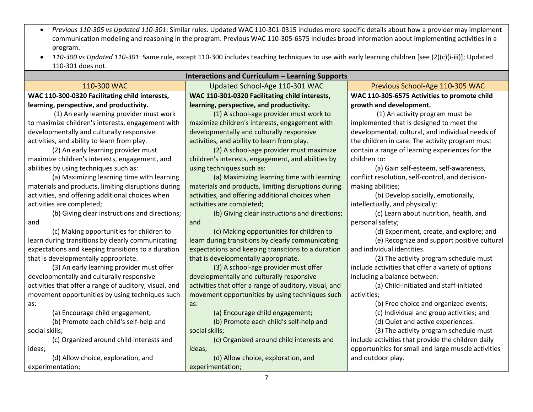- *Previous 110-305 vs Updated 110-301*: Similar rules. Updated WAC 110-301-0315 includes more specific details about how a provider may implement communication modeling and reasoning in the program. Previous WAC 110-305-6575 includes broad information about implementing activities in a program.
- *110-300 vs Updated 110-301*: Same rule, except 110-300 includes teaching techniques to use with early learning children [see (2)(c)(i-iii)]; Updated 110-301 does not.

| Interactions and Curriculum – Learning Supports        |                                                        |                                                     |
|--------------------------------------------------------|--------------------------------------------------------|-----------------------------------------------------|
| 110-300 WAC                                            | Updated School-Age 110-301 WAC                         | Previous School-Age 110-305 WAC                     |
| WAC 110-300-0320 Facilitating child interests,         | WAC 110-301-0320 Facilitating child interests,         | WAC 110-305-6575 Activities to promote child        |
| learning, perspective, and productivity.               | learning, perspective, and productivity.               | growth and development.                             |
| (1) An early learning provider must work               | (1) A school-age provider must work to                 | (1) An activity program must be                     |
| to maximize children's interests, engagement with      | maximize children's interests, engagement with         | implemented that is designed to meet the            |
| developmentally and culturally responsive              | developmentally and culturally responsive              | developmental, cultural, and individual needs of    |
| activities, and ability to learn from play.            | activities, and ability to learn from play.            | the children in care. The activity program must     |
| (2) An early learning provider must                    | (2) A school-age provider must maximize                | contain a range of learning experiences for the     |
| maximize children's interests, engagement, and         | children's interests, engagement, and abilities by     | children to:                                        |
| abilities by using techniques such as:                 | using techniques such as:                              | (a) Gain self-esteem, self-awareness,               |
| (a) Maximizing learning time with learning             | (a) Maximizing learning time with learning             | conflict resolution, self-control, and decision-    |
| materials and products, limiting disruptions during    | materials and products, limiting disruptions during    | making abilities;                                   |
| activities, and offering additional choices when       | activities, and offering additional choices when       | (b) Develop socially, emotionally,                  |
| activities are completed;                              | activities are completed;                              | intellectually, and physically;                     |
| (b) Giving clear instructions and directions;          | (b) Giving clear instructions and directions;          | (c) Learn about nutrition, health, and              |
| and                                                    | and                                                    | personal safety;                                    |
| (c) Making opportunities for children to               | (c) Making opportunities for children to               | (d) Experiment, create, and explore; and            |
| learn during transitions by clearly communicating      | learn during transitions by clearly communicating      | (e) Recognize and support positive cultural         |
| expectations and keeping transitions to a duration     | expectations and keeping transitions to a duration     | and individual identities.                          |
| that is developmentally appropriate.                   | that is developmentally appropriate.                   | (2) The activity program schedule must              |
| (3) An early learning provider must offer              | (3) A school-age provider must offer                   | include activities that offer a variety of options  |
| developmentally and culturally responsive              | developmentally and culturally responsive              | including a balance between:                        |
| activities that offer a range of auditory, visual, and | activities that offer a range of auditory, visual, and | (a) Child-initiated and staff-initiated             |
| movement opportunities by using techniques such        | movement opportunities by using techniques such        | activities;                                         |
| as:                                                    | as:                                                    | (b) Free choice and organized events;               |
| (a) Encourage child engagement;                        | (a) Encourage child engagement;                        | (c) Individual and group activities; and            |
| (b) Promote each child's self-help and                 | (b) Promote each child's self-help and                 | (d) Quiet and active experiences.                   |
| social skills;                                         | social skills;                                         | (3) The activity program schedule must              |
| (c) Organized around child interests and               | (c) Organized around child interests and               | include activities that provide the children daily  |
| ideas;                                                 | ideas;                                                 | opportunities for small and large muscle activities |
| (d) Allow choice, exploration, and                     | (d) Allow choice, exploration, and                     | and outdoor play.                                   |
| experimentation;                                       | experimentation;                                       |                                                     |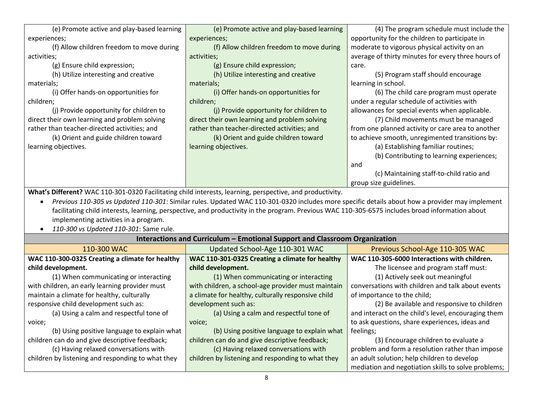| (e) Promote active and play-based learning                                                                | (e) Promote active and play-based learning                                                                                                       | (4) The program schedule must include the           |
|-----------------------------------------------------------------------------------------------------------|--------------------------------------------------------------------------------------------------------------------------------------------------|-----------------------------------------------------|
| experiences;                                                                                              | experiences;                                                                                                                                     | opportunity for the children to participate in      |
| (f) Allow children freedom to move during                                                                 | (f) Allow children freedom to move during                                                                                                        | moderate to vigorous physical activity on an        |
| activities;                                                                                               | activities;                                                                                                                                      | average of thirty minutes for every three hours of  |
| (g) Ensure child expression;                                                                              | (g) Ensure child expression;                                                                                                                     | care.                                               |
| (h) Utilize interesting and creative                                                                      | (h) Utilize interesting and creative                                                                                                             | (5) Program staff should encourage                  |
| materials;                                                                                                | materials;                                                                                                                                       | learning in school.                                 |
| (i) Offer hands-on opportunities for                                                                      | (i) Offer hands-on opportunities for                                                                                                             | (6) The child care program must operate             |
| children;                                                                                                 | children;                                                                                                                                        | under a regular schedule of activities with         |
| (j) Provide opportunity for children to                                                                   | (i) Provide opportunity for children to                                                                                                          | allowances for special events when applicable.      |
| direct their own learning and problem solving                                                             | direct their own learning and problem solving                                                                                                    | (7) Child movements must be managed                 |
| rather than teacher-directed activities; and                                                              | rather than teacher-directed activities; and                                                                                                     | from one planned activity or care area to another   |
| (k) Orient and guide children toward                                                                      | (k) Orient and guide children toward                                                                                                             | to achieve smooth, unregimented transitions by:     |
| learning objectives.                                                                                      | learning objectives.                                                                                                                             | (a) Establishing familiar routines;                 |
|                                                                                                           |                                                                                                                                                  | (b) Contributing to learning experiences;           |
|                                                                                                           |                                                                                                                                                  | and                                                 |
|                                                                                                           |                                                                                                                                                  | (c) Maintaining staff-to-child ratio and            |
|                                                                                                           |                                                                                                                                                  | group size guidelines.                              |
| What's Different? WAC 110-301-0320 Facilitating child interests, learning, perspective, and productivity. |                                                                                                                                                  |                                                     |
|                                                                                                           | Previous 110-305 vs Updated 110-301: Similar rules. Updated WAC 110-301-0320 includes more specific details about how a provider may implement   |                                                     |
|                                                                                                           | facilitating child interests, learning, perspective, and productivity in the program. Previous WAC 110-305-6575 includes broad information about |                                                     |
| implementing activities in a program.                                                                     |                                                                                                                                                  |                                                     |
| 110-300 vs Updated 110-301: Same rule.                                                                    |                                                                                                                                                  |                                                     |
|                                                                                                           | Interactions and Curriculum - Emotional Support and Classroom Organization                                                                       |                                                     |
| 110-300 WAC                                                                                               | Updated School-Age 110-301 WAC                                                                                                                   | Previous School-Age 110-305 WAC                     |
| WAC 110-300-0325 Creating a climate for healthy                                                           | WAC 110-301-0325 Creating a climate for healthy                                                                                                  | WAC 110-305-6000 Interactions with children.        |
| child development.                                                                                        | child development.                                                                                                                               | The licensee and program staff must:                |
| (1) When communicating or interacting                                                                     | (1) When communicating or interacting                                                                                                            | (1) Actively seek out meaningful                    |
| with children, an early learning provider must                                                            | with children, a school-age provider must maintain                                                                                               | conversations with children and talk about events   |
| maintain a climate for healthy, culturally                                                                | a climate for healthy, culturally responsive child                                                                                               | of importance to the child;                         |
| responsive child development such as:                                                                     | development such as:                                                                                                                             | (2) Be available and responsive to children         |
| (a) Using a calm and respectful tone of                                                                   | (a) Using a calm and respectful tone of                                                                                                          | and interact on the child's level, encouraging them |
| voice;                                                                                                    | voice;                                                                                                                                           | to ask questions, share experiences, ideas and      |
| (b) Using positive language to explain what                                                               | (b) Using positive language to explain what                                                                                                      | feelings;                                           |
| children can do and give descriptive feedback;                                                            | children can do and give descriptive feedback;                                                                                                   | (3) Encourage children to evaluate a                |
| (c) Having relaxed conversations with                                                                     | (c) Having relaxed conversations with                                                                                                            | problem and form a resolution rather than impose    |
| children by listening and responding to what they                                                         | children by listening and responding to what they                                                                                                | an adult solution; help children to develop         |
|                                                                                                           |                                                                                                                                                  | mediation and negotiation skills to solve problems; |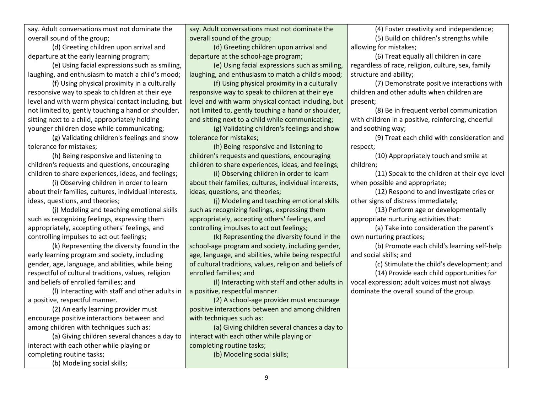say. Adult conversations must not dominate the overall sound of the group;

(d) Greeting children upon arrival and departure at the early learning program;

(e) Using facial expressions such as smiling, laughing, and enthusiasm to match a child's mood;

(f) Using physical proximity in a culturally responsive way to speak to children at their eye level and with warm physical contact including, but not limited to, gently touching a hand or shoulder, sitting next to a child, appropriately holding younger children close while communicating;

(g) Validating children's feelings and show tolerance for mistakes;

(h) Being responsive and listening to children's requests and questions, encouraging children to share experiences, ideas, and feelings;

(i) Observing children in order to learn about their families, cultures, individual interests, ideas, questions, and theories;

(j) Modeling and teaching emotional skills such as recognizing feelings, expressing them appropriately, accepting others' feelings, and controlling impulses to act out feelings;

(k) Representing the diversity found in the early learning program and society, including gender, age, language, and abilities, while being respectful of cultural traditions, values, religion and beliefs of enrolled families; and

(l) Interacting with staff and other adults in a positive, respectful manner.

(2) An early learning provider must encourage positive interactions between and among children with techniques such as:

(a) Giving children several chances a day to interact with each other while playing or completing routine tasks;

(b) Modeling social skills;

say. Adult conversations must not dominate the overall sound of the group;

(d) Greeting children upon arrival and departure at the school-age program;

(e) Using facial expressions such as smiling, laughing, and enthusiasm to match a child's mood;

(f) Using physical proximity in a culturally responsive way to speak to children at their eye level and with warm physical contact including, but not limited to, gently touching a hand or shoulder, and sitting next to a child while communicating;

(g) Validating children's feelings and show tolerance for mistakes;

(h) Being responsive and listening to children's requests and questions, encouraging children to share experiences, ideas, and feelings;

(i) Observing children in order to learn about their families, cultures, individual interests, ideas, questions, and theories;

(j) Modeling and teaching emotional skills such as recognizing feelings, expressing them appropriately, accepting others' feelings, and controlling impulses to act out feelings;

(k) Representing the diversity found in the school-age program and society, including gender, age, language, and abilities, while being respectful of cultural traditions, values, religion and beliefs of enrolled families; and

(l) Interacting with staff and other adults in a positive, respectful manner.

(2) A school-age provider must encourage positive interactions between and among children with techniques such as:

(a) Giving children several chances a day to interact with each other while playing or completing routine tasks; (b) Modeling social skills;

(4) Foster creativity and independence; (5) Build on children's strengths while allowing for mistakes;

(6) Treat equally all children in care regardless of race, religion, culture, sex, family structure and ability;

(7) Demonstrate positive interactions with children and other adults when children are present;

(8) Be in frequent verbal communication with children in a positive, reinforcing, cheerful and soothing way;

(9) Treat each child with consideration and respect;

(10) Appropriately touch and smile at children;

(11) Speak to the children at their eye level when possible and appropriate;

(12) Respond to and investigate cries or other signs of distress immediately;

(13) Perform age or developmentally appropriate nurturing activities that:

(a) Take into consideration the parent's own nurturing practices;

(b) Promote each child's learning self-help and social skills; and

(c) Stimulate the child's development; and

(14) Provide each child opportunities for vocal expression; adult voices must not always dominate the overall sound of the group.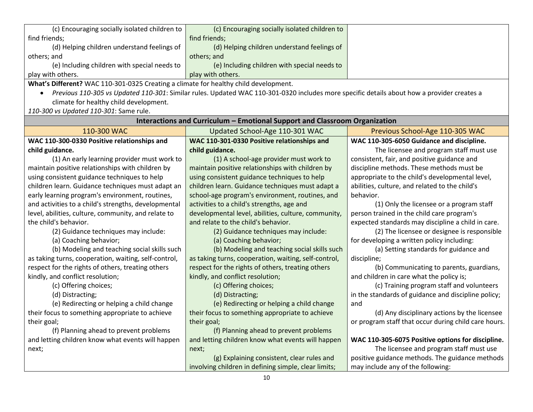| (c) Encouraging socially isolated children to $\vert$                               | (c) Encouraging socially isolated children to |  |
|-------------------------------------------------------------------------------------|-----------------------------------------------|--|
| find friends;                                                                       | find friends;                                 |  |
| (d) Helping children understand feelings of                                         | (d) Helping children understand feelings of   |  |
| others; and                                                                         | others; and                                   |  |
| (e) Including children with special needs to                                        | (e) Including children with special needs to  |  |
| play with others.                                                                   | play with others.                             |  |
| Mhat's Different? WAC 110-301-0325 Creating a climate for healthy child development |                                               |  |

**What's Different?** WAC 110-301-0325 Creating a climate for healthy child development.

 *Previous 110-305 vs Updated 110-301*: Similar rules. Updated WAC 110-301-0320 includes more specific details about how a provider creates a climate for healthy child development.

*110-300 vs Updated 110-301*: Same rule.

| Interactions and Curriculum - Emotional Support and Classroom Organization |                                                      |                                                      |
|----------------------------------------------------------------------------|------------------------------------------------------|------------------------------------------------------|
| 110-300 WAC                                                                | Updated School-Age 110-301 WAC                       | Previous School-Age 110-305 WAC                      |
| WAC 110-300-0330 Positive relationships and                                | WAC 110-301-0330 Positive relationships and          | WAC 110-305-6050 Guidance and discipline.            |
| child guidance.                                                            | child guidance.                                      | The licensee and program staff must use              |
| (1) An early learning provider must work to                                | (1) A school-age provider must work to               | consistent, fair, and positive guidance and          |
| maintain positive relationships with children by                           | maintain positive relationships with children by     | discipline methods. These methods must be            |
| using consistent guidance techniques to help                               | using consistent guidance techniques to help         | appropriate to the child's developmental level,      |
| children learn. Guidance techniques must adapt an                          | children learn. Guidance techniques must adapt a     | abilities, culture, and related to the child's       |
| early learning program's environment, routines,                            | school-age program's environment, routines, and      | behavior.                                            |
| and activities to a child's strengths, developmental                       | activities to a child's strengths, age and           | (1) Only the licensee or a program staff             |
| level, abilities, culture, community, and relate to                        | developmental level, abilities, culture, community,  | person trained in the child care program's           |
| the child's behavior.                                                      | and relate to the child's behavior.                  | expected standards may discipline a child in care.   |
| (2) Guidance techniques may include:                                       | (2) Guidance techniques may include:                 | (2) The licensee or designee is responsible          |
| (a) Coaching behavior;                                                     | (a) Coaching behavior;                               | for developing a written policy including:           |
| (b) Modeling and teaching social skills such                               | (b) Modeling and teaching social skills such         | (a) Setting standards for guidance and               |
| as taking turns, cooperation, waiting, self-control,                       | as taking turns, cooperation, waiting, self-control, | discipline;                                          |
| respect for the rights of others, treating others                          | respect for the rights of others, treating others    | (b) Communicating to parents, guardians,             |
| kindly, and conflict resolution;                                           | kindly, and conflict resolution;                     | and children in care what the policy is;             |
| (c) Offering choices;                                                      | (c) Offering choices;                                | (c) Training program staff and volunteers            |
| (d) Distracting;                                                           | (d) Distracting;                                     | in the standards of guidance and discipline policy;  |
| (e) Redirecting or helping a child change                                  | (e) Redirecting or helping a child change            | and                                                  |
| their focus to something appropriate to achieve                            | their focus to something appropriate to achieve      | (d) Any disciplinary actions by the licensee         |
| their goal;                                                                | their goal;                                          | or program staff that occur during child care hours. |
| (f) Planning ahead to prevent problems                                     | (f) Planning ahead to prevent problems               |                                                      |
| and letting children know what events will happen                          | and letting children know what events will happen    | WAC 110-305-6075 Positive options for discipline.    |
| next;                                                                      | next;                                                | The licensee and program staff must use              |
|                                                                            | (g) Explaining consistent, clear rules and           | positive guidance methods. The guidance methods      |
|                                                                            | involving children in defining simple, clear limits; | may include any of the following:                    |
| 10                                                                         |                                                      |                                                      |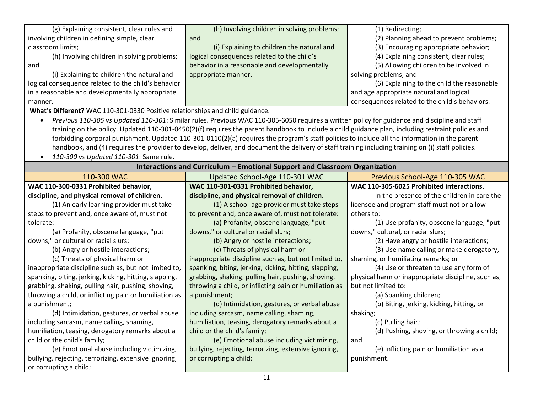| (g) Explaining consistent, clear rules and                                       | (h) Involving children in solving problems;                                                                                                        | (1) Redirecting;                                                |
|----------------------------------------------------------------------------------|----------------------------------------------------------------------------------------------------------------------------------------------------|-----------------------------------------------------------------|
| involving children in defining simple, clear                                     | and                                                                                                                                                | (2) Planning ahead to prevent problems;                         |
| classroom limits;                                                                | (i) Explaining to children the natural and                                                                                                         | (3) Encouraging appropriate behavior;                           |
| (h) Involving children in solving problems;                                      | logical consequences related to the child's                                                                                                        | (4) Explaining consistent, clear rules;                         |
| and                                                                              | behavior in a reasonable and developmentally                                                                                                       | (5) Allowing children to be involved in                         |
| (i) Explaining to children the natural and                                       | appropriate manner.                                                                                                                                | solving problems; and                                           |
| logical consequence related to the child's behavior                              |                                                                                                                                                    | (6) Explaining to the child the reasonable                      |
| in a reasonable and developmentally appropriate                                  |                                                                                                                                                    | and age appropriate natural and logical                         |
| manner.                                                                          |                                                                                                                                                    | consequences related to the child's behaviors.                  |
| What's Different? WAC 110-301-0330 Positive relationships and child guidance.    |                                                                                                                                                    |                                                                 |
| $\bullet$                                                                        | Previous 110-305 vs Updated 110-301: Similar rules. Previous WAC 110-305-6050 requires a written policy for guidance and discipline and staff      |                                                                 |
|                                                                                  | training on the policy. Updated 110-301-0450(2)(f) requires the parent handbook to include a child guidance plan, including restraint policies and |                                                                 |
|                                                                                  | forbidding corporal punishment. Updated 110-301-0110(2)(a) requires the program's staff policies to include all the information in the parent      |                                                                 |
|                                                                                  | handbook, and (4) requires the provider to develop, deliver, and document the delivery of staff training including training on (i) staff policies. |                                                                 |
| 110-300 vs Updated 110-301: Same rule.                                           |                                                                                                                                                    |                                                                 |
| Interactions and Curriculum - Emotional Support and Classroom Organization       |                                                                                                                                                    |                                                                 |
| 110-300 WAC                                                                      | Updated School-Age 110-301 WAC                                                                                                                     | Previous School-Age 110-305 WAC                                 |
| WAC 110-300-0331 Prohibited behavior,                                            | WAC 110-301-0331 Prohibited behavior,                                                                                                              | WAC 110-305-6025 Prohibited interactions.                       |
| discipline, and physical removal of children.                                    | discipline, and physical removal of children.                                                                                                      | In the presence of the children in care the                     |
| (1) An early learning provider must take                                         | (1) A school-age provider must take steps                                                                                                          | licensee and program staff must not or allow                    |
| steps to prevent and, once aware of, must not                                    | to prevent and, once aware of, must not tolerate:                                                                                                  | others to:                                                      |
| tolerate:                                                                        | (a) Profanity, obscene language, "put                                                                                                              | (1) Use profanity, obscene language, "put                       |
| (a) Profanity, obscene language, "put                                            | downs," or cultural or racial slurs;                                                                                                               | downs," cultural, or racial slurs;                              |
| downs," or cultural or racial slurs;                                             | (b) Angry or hostile interactions;                                                                                                                 | (2) Have angry or hostile interactions;                         |
| (b) Angry or hostile interactions;                                               | (c) Threats of physical harm or                                                                                                                    | (3) Use name calling or make derogatory,                        |
| (c) Threats of physical harm or                                                  | inappropriate discipline such as, but not limited to,                                                                                              | shaming, or humiliating remarks; or                             |
| inappropriate discipline such as, but not limited to,                            | spanking, biting, jerking, kicking, hitting, slapping,                                                                                             | (4) Use or threaten to use any form of                          |
| spanking, biting, jerking, kicking, hitting, slapping,                           | grabbing, shaking, pulling hair, pushing, shoving,                                                                                                 | physical harm or inappropriate discipline, such as,             |
| grabbing, shaking, pulling hair, pushing, shoving,                               | throwing a child, or inflicting pain or humiliation as                                                                                             | but not limited to:                                             |
| throwing a child, or inflicting pain or humiliation as                           | a punishment;                                                                                                                                      | (a) Spanking children;                                          |
|                                                                                  |                                                                                                                                                    |                                                                 |
| a punishment;                                                                    | (d) Intimidation, gestures, or verbal abuse                                                                                                        |                                                                 |
|                                                                                  |                                                                                                                                                    | (b) Biting, jerking, kicking, hitting, or                       |
| (d) Intimidation, gestures, or verbal abuse                                      | including sarcasm, name calling, shaming,<br>humiliation, teasing, derogatory remarks about a                                                      | shaking;                                                        |
| including sarcasm, name calling, shaming,                                        | child or the child's family;                                                                                                                       | (c) Pulling hair;<br>(d) Pushing, shoving, or throwing a child; |
| humiliation, teasing, derogatory remarks about a<br>child or the child's family; | (e) Emotional abuse including victimizing,                                                                                                         | and                                                             |
|                                                                                  |                                                                                                                                                    | (e) Inflicting pain or humiliation as a                         |
| (e) Emotional abuse including victimizing,                                       | bullying, rejecting, terrorizing, extensive ignoring,<br>or corrupting a child;                                                                    | punishment.                                                     |
| bullying, rejecting, terrorizing, extensive ignoring,<br>or corrupting a child;  |                                                                                                                                                    |                                                                 |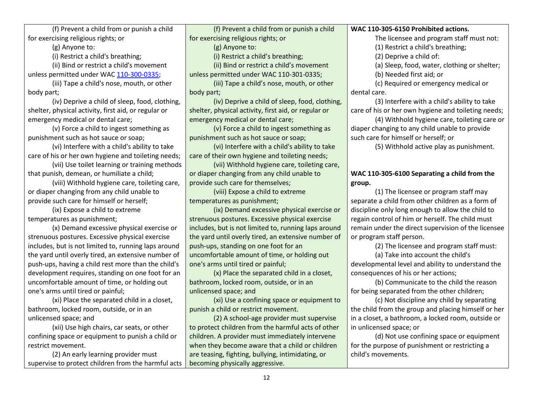(f) Prevent a child from or punish a child for exercising religious rights; or

(g) Anyone to:

(i) Restrict a child's breathing;

(ii) Bind or restrict a child's movement unless permitted under WAC [110-300-0335;](https://apps.leg.wa.gov/wac/default.aspx?cite=110-300-0335)

(iii) Tape a child's nose, mouth, or other body part;

(iv) Deprive a child of sleep, food, clothing, shelter, physical activity, first aid, or regular or emergency medical or dental care;

(v) Force a child to ingest something as punishment such as hot sauce or soap;

(vi) Interfere with a child's ability to take care of his or her own hygiene and toileting needs;

(vii) Use toilet learning or training methods that punish, demean, or humiliate a child;

(viii) Withhold hygiene care, toileting care, or diaper changing from any child unable to provide such care for himself or herself;

(ix) Expose a child to extreme temperatures as punishment;

(x) Demand excessive physical exercise or strenuous postures. Excessive physical exercise includes, but is not limited to, running laps around the yard until overly tired, an extensive number of push-ups, having a child rest more than the child's development requires, standing on one foot for an uncomfortable amount of time, or holding out one's arms until tired or painful;

(xi) Place the separated child in a closet, bathroom, locked room, outside, or in an unlicensed space; and

(xii) Use high chairs, car seats, or other confining space or equipment to punish a child or restrict movement.

(2) An early learning provider must supervise to protect children from the harmful acts

(f) Prevent a child from or punish a child for exercising religious rights; or

(g) Anyone to:

(i) Restrict a child's breathing;

(ii) Bind or restrict a child's movement

unless permitted under WAC 110-301-0335;

(iii) Tape a child's nose, mouth, or other body part;

(iv) Deprive a child of sleep, food, clothing, shelter, physical activity, first aid, or regular or emergency medical or dental care;

(v) Force a child to ingest something as punishment such as hot sauce or soap;

(vi) Interfere with a child's ability to take care of their own hygiene and toileting needs;

(vii) Withhold hygiene care, toileting care, or diaper changing from any child unable to provide such care for themselves;

(viii) Expose a child to extreme temperatures as punishment;

(ix) Demand excessive physical exercise or strenuous postures. Excessive physical exercise includes, but is not limited to, running laps around the yard until overly tired, an extensive number of push-ups, standing on one foot for an uncomfortable amount of time, or holding out one's arms until tired or painful;

(x) Place the separated child in a closet, bathroom, locked room, outside, or in an unlicensed space; and

(xi) Use a confining space or equipment to punish a child or restrict movement.

(2) A school-age provider must supervise to protect children from the harmful acts of other children. A provider must immediately intervene when they become aware that a child or children are teasing, fighting, bullying, intimidating, or becoming physically aggressive.

**WAC 110-305-6150 Prohibited actions.**

The licensee and program staff must not:

(1) Restrict a child's breathing;

(2) Deprive a child of:

(a) Sleep, food, water, clothing or shelter;

(b) Needed first aid; or

(c) Required or emergency medical or dental care.

(3) Interfere with a child's ability to take care of his or her own hygiene and toileting needs;

(4) Withhold hygiene care, toileting care or diaper changing to any child unable to provide such care for himself or herself; or

(5) Withhold active play as punishment.

# **WAC 110-305-6100 Separating a child from the group.**

(1) The licensee or program staff may separate a child from other children as a form of discipline only long enough to allow the child to regain control of him or herself. The child must remain under the direct supervision of the licensee or program staff person.

(2) The licensee and program staff must:

(a) Take into account the child's

developmental level and ability to understand the consequences of his or her actions;

(b) Communicate to the child the reason for being separated from the other children;

(c) Not discipline any child by separating the child from the group and placing himself or her in a closet, a bathroom, a locked room, outside or in unlicensed space; or

(d) Not use confining space or equipment for the purpose of punishment or restricting a child's movements.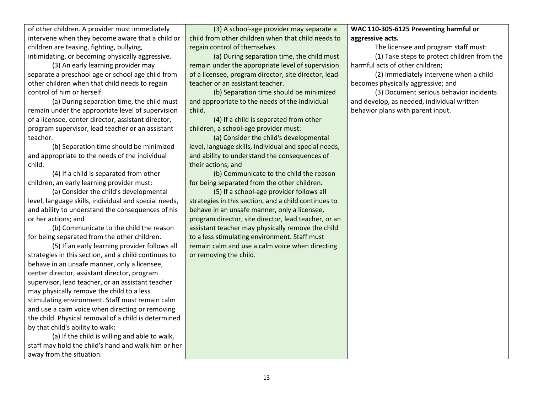of other children. A provider must immediately intervene when they become aware that a child or children are teasing, fighting, bullying, intimidating, or becoming physically aggressive.

(3) An early learning provider may separate a preschool age or school age child from other children when that child needs to regain control of him or herself.

(a) During separation time, the child must remain under the appropriate level of supervision of a licensee, center director, assistant director, program supervisor, lead teacher or an assistant teacher.

(b) Separation time should be minimized and appropriate to the needs of the individual child.

(4) If a child is separated from other children, an early learning provider must:

(a) Consider the child's developmental level, language skills, individual and special needs, and ability to understand the consequences of his or her actions; and

(b) Communicate to the child the reason for being separated from the other children.

(5) If an early learning provider follows all strategies in this section, and a child continues to behave in an unsafe manner, only a licensee, center director, assistant director, program supervisor, lead teacher, or an assistant teacher may physically remove the child to a less stimulating environment. Staff must remain calm and use a calm voice when directing or removing the child. Physical removal of a child is determined by that child's ability to walk:

(a) If the child is willing and able to walk, staff may hold the child's hand and walk him or her away from the situation.

(3) A school-age provider may separate a child from other children when that child needs to regain control of themselves.

(a) During separation time, the child must remain under the appropriate level of supervision of a licensee, program director, site director, lead teacher or an assistant teacher.

(b) Separation time should be minimized and appropriate to the needs of the individual child.

(4) If a child is separated from other children, a school-age provider must:

(a) Consider the child's developmental level, language skills, individual and special needs, and ability to understand the consequences of their actions; and

(b) Communicate to the child the reason for being separated from the other children.

(5) If a school-age provider follows all strategies in this section, and a child continues to behave in an unsafe manner, only a licensee, program director, site director, lead teacher, or an assistant teacher may physically remove the child to a less stimulating environment. Staff must remain calm and use a calm voice when directing or removing the child.

## **WAC 110-305-6125 Preventing harmful or aggressive acts.**

The licensee and program staff must:

(1) Take steps to protect children from the harmful acts of other children;

(2) Immediately intervene when a child becomes physically aggressive; and

(3) Document serious behavior incidents and develop, as needed, individual written behavior plans with parent input.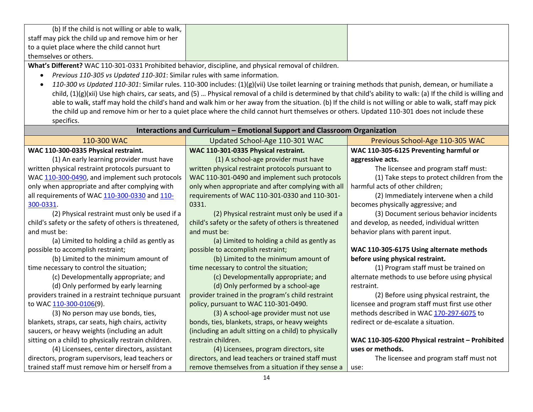| (b) If the child is not willing or able to walk, $\parallel$ |  |
|--------------------------------------------------------------|--|
| staff may pick the child up and remove him or her            |  |
| to a quiet place where the child cannot hurt                 |  |
| themselves or others.                                        |  |

**What's Different?** WAC 110-301-0331 Prohibited behavior, discipline, and physical removal of children.

- *Previous 110-305 vs Updated 110-301*: Similar rules with same information.
- *110-300 vs Updated 110-301*: Similar rules. 110-300 includes: (1)(g)(vii) Use toilet learning or training methods that punish, demean, or humiliate a child, (1)(g)(xii) Use high chairs, car seats, and (5) … Physical removal of a child is determined by that child's ability to walk: (a) If the child is willing and able to walk, staff may hold the child's hand and walk him or her away from the situation. (b) If the child is not willing or able to walk, staff may pick the child up and remove him or her to a quiet place where the child cannot hurt themselves or others. Updated 110-301 does not include these specifics.

| Interactions and Curriculum – Emotional Support and Classroom Organization |                                                       |                                                  |
|----------------------------------------------------------------------------|-------------------------------------------------------|--------------------------------------------------|
| 110-300 WAC                                                                | Updated School-Age 110-301 WAC                        | Previous School-Age 110-305 WAC                  |
| WAC 110-300-0335 Physical restraint.                                       | WAC 110-301-0335 Physical restraint.                  | WAC 110-305-6125 Preventing harmful or           |
| (1) An early learning provider must have                                   | (1) A school-age provider must have                   | aggressive acts.                                 |
| written physical restraint protocols pursuant to                           | written physical restraint protocols pursuant to      | The licensee and program staff must:             |
| WAC 110-300-0490, and implement such protocols                             | WAC 110-301-0490 and implement such protocols         | (1) Take steps to protect children from the      |
| only when appropriate and after complying with                             | only when appropriate and after complying with all    | harmful acts of other children;                  |
| all requirements of WAC 110-300-0330 and 110-                              | requirements of WAC 110-301-0330 and 110-301-         | (2) Immediately intervene when a child           |
| 300-0331.                                                                  | 0331.                                                 | becomes physically aggressive; and               |
| (2) Physical restraint must only be used if a                              | (2) Physical restraint must only be used if a         | (3) Document serious behavior incidents          |
| child's safety or the safety of others is threatened,                      | child's safety or the safety of others is threatened  | and develop, as needed, individual written       |
| and must be:                                                               | and must be:                                          | behavior plans with parent input.                |
| (a) Limited to holding a child as gently as                                | (a) Limited to holding a child as gently as           |                                                  |
| possible to accomplish restraint;                                          | possible to accomplish restraint;                     | WAC 110-305-6175 Using alternate methods         |
| (b) Limited to the minimum amount of                                       | (b) Limited to the minimum amount of                  | before using physical restraint.                 |
| time necessary to control the situation;                                   | time necessary to control the situation;              | (1) Program staff must be trained on             |
| (c) Developmentally appropriate; and                                       | (c) Developmentally appropriate; and                  | alternate methods to use before using physical   |
| (d) Only performed by early learning                                       | (d) Only performed by a school-age                    | restraint.                                       |
| providers trained in a restraint technique pursuant                        | provider trained in the program's child restraint     | (2) Before using physical restraint, the         |
| to WAC 110-300-0106(9).                                                    | policy, pursuant to WAC 110-301-0490.                 | licensee and program staff must first use other  |
| (3) No person may use bonds, ties,                                         | (3) A school-age provider must not use                | methods described in WAC 170-297-6075 to         |
| blankets, straps, car seats, high chairs, activity                         | bonds, ties, blankets, straps, or heavy weights       | redirect or de-escalate a situation.             |
| saucers, or heavy weights (including an adult                              | (including an adult sitting on a child) to physically |                                                  |
| sitting on a child) to physically restrain children.                       | restrain children.                                    | WAC 110-305-6200 Physical restraint - Prohibited |
| (4) Licensees, center directors, assistant                                 | (4) Licensees, program directors, site                | uses or methods.                                 |
| directors, program supervisors, lead teachers or                           | directors, and lead teachers or trained staff must    | The licensee and program staff must not          |
| trained staff must remove him or herself from a                            | remove themselves from a situation if they sense a    | use:                                             |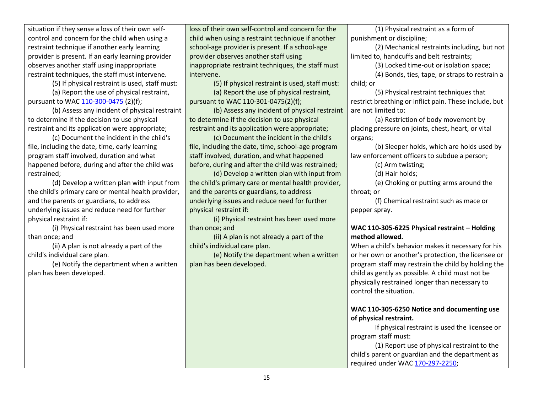| situation if they sense a loss of their own self-   | loss of their own self-control and concern for the  | (1) Physical restraint as a form of                    |
|-----------------------------------------------------|-----------------------------------------------------|--------------------------------------------------------|
| control and concern for the child when using a      | child when using a restraint technique if another   | punishment or discipline;                              |
| restraint technique if another early learning       | school-age provider is present. If a school-age     | (2) Mechanical restraints including, but not           |
| provider is present. If an early learning provider  | provider observes another staff using               | limited to, handcuffs and belt restraints;             |
| observes another staff using inappropriate          | inappropriate restraint techniques, the staff must  | (3) Locked time-out or isolation space;                |
| restraint techniques, the staff must intervene.     | intervene.                                          | (4) Bonds, ties, tape, or straps to restrain a         |
| (5) If physical restraint is used, staff must:      | (5) If physical restraint is used, staff must:      | child; or                                              |
| (a) Report the use of physical restraint,           | (a) Report the use of physical restraint,           | (5) Physical restraint techniques that                 |
| pursuant to WAC 110-300-0475 (2)(f);                | pursuant to WAC 110-301-0475(2)(f);                 | restrict breathing or inflict pain. These include, but |
| (b) Assess any incident of physical restraint       | (b) Assess any incident of physical restraint       | are not limited to:                                    |
| to determine if the decision to use physical        | to determine if the decision to use physical        | (a) Restriction of body movement by                    |
| restraint and its application were appropriate;     | restraint and its application were appropriate;     | placing pressure on joints, chest, heart, or vital     |
| (c) Document the incident in the child's            | (c) Document the incident in the child's            | organs;                                                |
| file, including the date, time, early learning      | file, including the date, time, school-age program  | (b) Sleeper holds, which are holds used by             |
| program staff involved, duration and what           | staff involved, duration, and what happened         | law enforcement officers to subdue a person;           |
| happened before, during and after the child was     | before, during and after the child was restrained;  | (c) Arm twisting;                                      |
| restrained;                                         | (d) Develop a written plan with input from          | (d) Hair holds;                                        |
| (d) Develop a written plan with input from          | the child's primary care or mental health provider, | (e) Choking or putting arms around the                 |
| the child's primary care or mental health provider, | and the parents or guardians, to address            | throat; or                                             |
| and the parents or guardians, to address            | underlying issues and reduce need for further       | (f) Chemical restraint such as mace or                 |
| underlying issues and reduce need for further       | physical restraint if:                              | pepper spray.                                          |
| physical restraint if:                              | (i) Physical restraint has been used more           |                                                        |
| (i) Physical restraint has been used more           | than once; and                                      | WAC 110-305-6225 Physical restraint - Holding          |
| than once; and                                      | (ii) A plan is not already a part of the            | method allowed.                                        |
| (ii) A plan is not already a part of the            | child's individual care plan.                       | When a child's behavior makes it necessary for his     |
| child's individual care plan.                       | (e) Notify the department when a written            | or her own or another's protection, the licensee or    |
| (e) Notify the department when a written            | plan has been developed.                            | program staff may restrain the child by holding the    |
| plan has been developed.                            |                                                     | child as gently as possible. A child must not be       |
|                                                     |                                                     | physically restrained longer than necessary to         |
|                                                     |                                                     | control the situation.                                 |
|                                                     |                                                     |                                                        |
|                                                     |                                                     | WAC 110-305-6250 Notice and documenting use            |
|                                                     |                                                     | of physical restraint.                                 |
|                                                     |                                                     | If physical restraint is used the licensee or          |
|                                                     |                                                     | program staff must:                                    |
|                                                     |                                                     | (1) Report use of physical restraint to the            |
|                                                     |                                                     | child's parent or guardian and the department as       |
|                                                     |                                                     | required under WAC 170-297-2250;                       |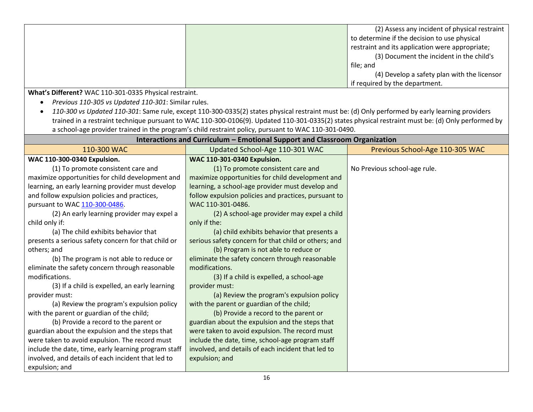| (2) Assess any incident of physical restraint   |
|-------------------------------------------------|
| to determine if the decision to use physical    |
| restraint and its application were appropriate; |
| (3) Document the incident in the child's        |
| file; and                                       |
| (4) Develop a safety plan with the licensor     |
| if required by the department.                  |

**What's Different?** WAC 110-301-0335 Physical restraint.

*Previous 110-305 vs Updated 110-301*: Similar rules.

 *110-300 vs Updated 110-301*: Same rule, except 110-300-0335(2) states physical restraint must be: (d) Only performed by early learning providers trained in a restraint technique pursuant to WAC 110-300-0106(9). Updated 110-301-0335(2) states physical restraint must be: (d) Only performed by a school-age provider trained in the program's child restraint policy, pursuant to WAC 110-301-0490.

| Interactions and Curriculum - Emotional Support and Classroom Organization |                                                      |                                 |
|----------------------------------------------------------------------------|------------------------------------------------------|---------------------------------|
| 110-300 WAC                                                                | Updated School-Age 110-301 WAC                       | Previous School-Age 110-305 WAC |
| WAC 110-300-0340 Expulsion.                                                | WAC 110-301-0340 Expulsion.                          |                                 |
| (1) To promote consistent care and                                         | (1) To promote consistent care and                   | No Previous school-age rule.    |
| maximize opportunities for child development and                           | maximize opportunities for child development and     |                                 |
| learning, an early learning provider must develop                          | learning, a school-age provider must develop and     |                                 |
| and follow expulsion policies and practices,                               | follow expulsion policies and practices, pursuant to |                                 |
| pursuant to WAC 110-300-0486.                                              | WAC 110-301-0486.                                    |                                 |
| (2) An early learning provider may expel a                                 | (2) A school-age provider may expel a child          |                                 |
| child only if:                                                             | only if the:                                         |                                 |
| (a) The child exhibits behavior that                                       | (a) child exhibits behavior that presents a          |                                 |
| presents a serious safety concern for that child or                        | serious safety concern for that child or others; and |                                 |
| others; and                                                                | (b) Program is not able to reduce or                 |                                 |
| (b) The program is not able to reduce or                                   | eliminate the safety concern through reasonable      |                                 |
| eliminate the safety concern through reasonable                            | modifications.                                       |                                 |
| modifications.                                                             | (3) If a child is expelled, a school-age             |                                 |
| (3) If a child is expelled, an early learning                              | provider must:                                       |                                 |
| provider must:                                                             | (a) Review the program's expulsion policy            |                                 |
| (a) Review the program's expulsion policy                                  | with the parent or guardian of the child;            |                                 |
| with the parent or guardian of the child;                                  | (b) Provide a record to the parent or                |                                 |
| (b) Provide a record to the parent or                                      | guardian about the expulsion and the steps that      |                                 |
| guardian about the expulsion and the steps that                            | were taken to avoid expulsion. The record must       |                                 |
| were taken to avoid expulsion. The record must                             | include the date, time, school-age program staff     |                                 |
| include the date, time, early learning program staff                       | involved, and details of each incident that led to   |                                 |
| involved, and details of each incident that led to                         | expulsion; and                                       |                                 |
| expulsion; and                                                             |                                                      |                                 |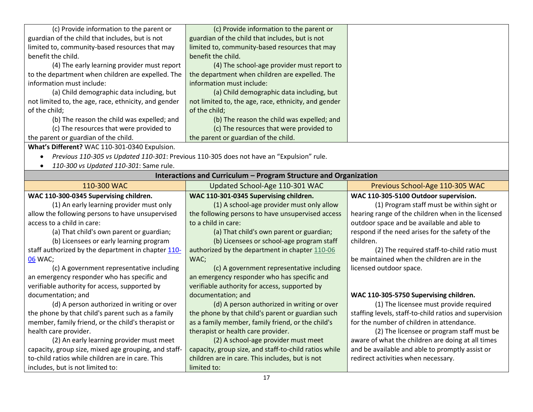| (c) Provide information to the parent or             | (c) Provide information to the parent or                                                 |                                                        |
|------------------------------------------------------|------------------------------------------------------------------------------------------|--------------------------------------------------------|
| guardian of the child that includes, but is not      | guardian of the child that includes, but is not                                          |                                                        |
| limited to, community-based resources that may       | limited to, community-based resources that may                                           |                                                        |
| benefit the child.                                   | benefit the child.                                                                       |                                                        |
| (4) The early learning provider must report          | (4) The school-age provider must report to                                               |                                                        |
| to the department when children are expelled. The    | the department when children are expelled. The                                           |                                                        |
| information must include:                            | information must include:                                                                |                                                        |
| (a) Child demographic data including, but            | (a) Child demographic data including, but                                                |                                                        |
| not limited to, the age, race, ethnicity, and gender | not limited to, the age, race, ethnicity, and gender                                     |                                                        |
| of the child;                                        | of the child;                                                                            |                                                        |
| (b) The reason the child was expelled; and           | (b) The reason the child was expelled; and                                               |                                                        |
| (c) The resources that were provided to              | (c) The resources that were provided to                                                  |                                                        |
| the parent or guardian of the child.                 | the parent or guardian of the child.                                                     |                                                        |
| What's Different? WAC 110-301-0340 Expulsion.        |                                                                                          |                                                        |
|                                                      | Previous 110-305 vs Updated 110-301: Previous 110-305 does not have an "Expulsion" rule. |                                                        |
| 110-300 vs Updated 110-301: Same rule.               |                                                                                          |                                                        |
|                                                      | Interactions and Curriculum - Program Structure and Organization                         |                                                        |
| 110-300 WAC                                          | Updated School-Age 110-301 WAC                                                           | Previous School-Age 110-305 WAC                        |
| WAC 110-300-0345 Supervising children.               | WAC 110-301-0345 Supervising children.                                                   | WAC 110-305-5100 Outdoor supervision.                  |
| (1) An early learning provider must only             | (1) A school-age provider must only allow                                                | (1) Program staff must be within sight or              |
| allow the following persons to have unsupervised     | the following persons to have unsupervised access                                        | hearing range of the children when in the licensed     |
| access to a child in care:                           | to a child in care:                                                                      | outdoor space and be available and able to             |
| (a) That child's own parent or guardian;             | (a) That child's own parent or guardian;                                                 | respond if the need arises for the safety of the       |
| (b) Licensees or early learning program              | (b) Licensees or school-age program staff                                                | children.                                              |
| staff authorized by the department in chapter 110-   | authorized by the department in chapter 110-06                                           | (2) The required staff-to-child ratio must             |
| 06 WAC;                                              | WAC;                                                                                     | be maintained when the children are in the             |
| (c) A government representative including            | (c) A government representative including                                                | licensed outdoor space.                                |
| an emergency responder who has specific and          | an emergency responder who has specific and                                              |                                                        |
| verifiable authority for access, supported by        | verifiable authority for access, supported by                                            |                                                        |
| documentation; and                                   | documentation; and                                                                       | WAC 110-305-5750 Supervising children.                 |
| (d) A person authorized in writing or over           | (d) A person authorized in writing or over                                               | (1) The licensee must provide required                 |
| the phone by that child's parent such as a family    | the phone by that child's parent or guardian such                                        | staffing levels, staff-to-child ratios and supervision |
| member, family friend, or the child's therapist or   | as a family member, family friend, or the child's                                        | for the number of children in attendance.              |
| health care provider.                                | therapist or health care provider.                                                       | (2) The licensee or program staff must be              |
| (2) An early learning provider must meet             | (2) A school-age provider must meet                                                      | aware of what the children are doing at all times      |
| capacity, group size, mixed age grouping, and staff- | capacity, group size, and staff-to-child ratios while                                    | and be available and able to promptly assist or        |
| to-child ratios while children are in care. This     | children are in care. This includes, but is not                                          | redirect activities when necessary.                    |
| includes, but is not limited to:                     | limited to:                                                                              |                                                        |
|                                                      |                                                                                          |                                                        |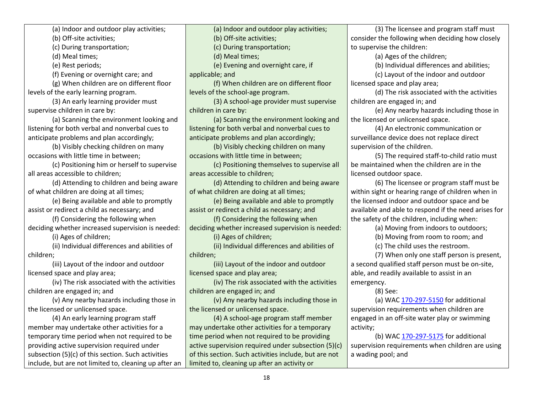(a) Indoor and outdoor play activities;

(b) Off-site activities;

(c) During transportation;

(d) Meal times;

(e) Rest periods;

(f) Evening or overnight care; and

(g) When children are on different floor levels of the early learning program.

(3) An early learning provider must supervise children in care by:

(a) Scanning the environment looking and listening for both verbal and nonverbal cues to anticipate problems and plan accordingly;

(b) Visibly checking children on many occasions with little time in between;

(c) Positioning him or herself to supervise all areas accessible to children;

(d) Attending to children and being aware of what children are doing at all times;

(e) Being available and able to promptly assist or redirect a child as necessary; and

(f) Considering the following when deciding whether increased supervision is needed:

(i) Ages of children;

(ii) Individual differences and abilities of children;

(iii) Layout of the indoor and outdoor licensed space and play area;

(iv) The risk associated with the activities children are engaged in; and

(v) Any nearby hazards including those in the licensed or unlicensed space.

(4) An early learning program staff member may undertake other activities for a temporary time period when not required to be providing active supervision required under subsection (5)(c) of this section. Such activities include, but are not limited to, cleaning up after an (a) Indoor and outdoor play activities;

(b) Off-site activities;

(c) During transportation;

(d) Meal times;

(e) Evening and overnight care, if

applicable; and

(f) When children are on different floor levels of the school-age program.

(3) A school-age provider must supervise children in care by:

(a) Scanning the environment looking and listening for both verbal and nonverbal cues to anticipate problems and plan accordingly;

(b) Visibly checking children on many occasions with little time in between;

(c) Positioning themselves to supervise all areas accessible to children;

(d) Attending to children and being aware of what children are doing at all times;

(e) Being available and able to promptly assist or redirect a child as necessary; and

(f) Considering the following when deciding whether increased supervision is needed:

(i) Ages of children;

(ii) Individual differences and abilities of children;

(iii) Layout of the indoor and outdoor licensed space and play area;

(iv) The risk associated with the activities children are engaged in; and

(v) Any nearby hazards including those in the licensed or unlicensed space.

(4) A school-age program staff member may undertake other activities for a temporary time period when not required to be providing active supervision required under subsection (5)(c) of this section. Such activities include, but are not limited to, cleaning up after an activity or

(3) The licensee and program staff must consider the following when deciding how closely to supervise the children:

(a) Ages of the children;

(b) Individual differences and abilities;

(c) Layout of the indoor and outdoor

licensed space and play area;

(d) The risk associated with the activities children are engaged in; and

(e) Any nearby hazards including those in the licensed or unlicensed space.

(4) An electronic communication or surveillance device does not replace direct supervision of the children.

(5) The required staff-to-child ratio must be maintained when the children are in the licensed outdoor space.

(6) The licensee or program staff must be within sight or hearing range of children when in the licensed indoor and outdoor space and be available and able to respond if the need arises for the safety of the children, including when:

(a) Moving from indoors to outdoors;

(b) Moving from room to room; and

(c) The child uses the restroom.

(7) When only one staff person is present, a second qualified staff person must be on-site, able, and readily available to assist in an emergency.

(8) See:

(a) WAC [170-297-5150](https://apps.leg.wa.gov/wac/default.aspx?cite=170-297-5150) for additional supervision requirements when children are engaged in an off-site water play or swimming activity;

(b) WA[C 170-297-5175](https://apps.leg.wa.gov/wac/default.aspx?cite=170-297-5175) for additional supervision requirements when children are using a wading pool; and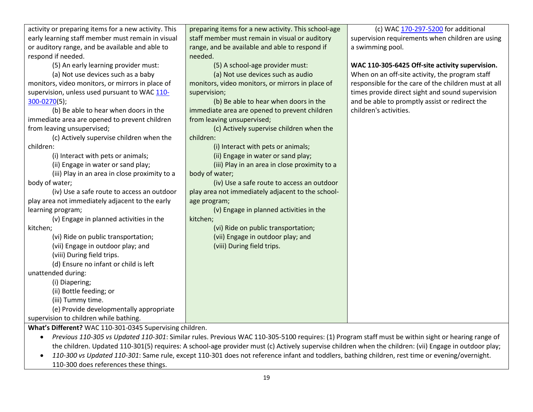| activity or preparing items for a new activity. This    | preparing items for a new activity. This school-age | (c) WAC 170-297-5200 for additional                  |
|---------------------------------------------------------|-----------------------------------------------------|------------------------------------------------------|
| early learning staff member must remain in visual       | staff member must remain in visual or auditory      | supervision requirements when children are using     |
| or auditory range, and be available and able to         | range, and be available and able to respond if      | a swimming pool.                                     |
| respond if needed.                                      | needed.                                             |                                                      |
| (5) An early learning provider must:                    | (5) A school-age provider must:                     | WAC 110-305-6425 Off-site activity supervision.      |
| (a) Not use devices such as a baby                      | (a) Not use devices such as audio                   | When on an off-site activity, the program staff      |
| monitors, video monitors, or mirrors in place of        | monitors, video monitors, or mirrors in place of    | responsible for the care of the children must at all |
| supervision, unless used pursuant to WAC 110-           | supervision;                                        | times provide direct sight and sound supervision     |
| 300-0270(5);                                            | (b) Be able to hear when doors in the               | and be able to promptly assist or redirect the       |
| (b) Be able to hear when doors in the                   | immediate area are opened to prevent children       | children's activities.                               |
| immediate area are opened to prevent children           | from leaving unsupervised;                          |                                                      |
| from leaving unsupervised;                              | (c) Actively supervise children when the            |                                                      |
| (c) Actively supervise children when the                | children:                                           |                                                      |
| children:                                               | (i) Interact with pets or animals;                  |                                                      |
| (i) Interact with pets or animals;                      | (ii) Engage in water or sand play;                  |                                                      |
| (ii) Engage in water or sand play;                      | (iii) Play in an area in close proximity to a       |                                                      |
| (iii) Play in an area in close proximity to a           | body of water;                                      |                                                      |
| body of water;                                          | (iv) Use a safe route to access an outdoor          |                                                      |
| (iv) Use a safe route to access an outdoor              | play area not immediately adjacent to the school-   |                                                      |
| play area not immediately adjacent to the early         | age program;                                        |                                                      |
| learning program;                                       | (v) Engage in planned activities in the             |                                                      |
| (v) Engage in planned activities in the                 | kitchen;                                            |                                                      |
| kitchen;                                                | (vi) Ride on public transportation;                 |                                                      |
| (vi) Ride on public transportation;                     | (vii) Engage in outdoor play; and                   |                                                      |
| (vii) Engage in outdoor play; and                       | (viii) During field trips.                          |                                                      |
| (viii) During field trips.                              |                                                     |                                                      |
| (d) Ensure no infant or child is left                   |                                                     |                                                      |
| unattended during:                                      |                                                     |                                                      |
| (i) Diapering;                                          |                                                     |                                                      |
| (ii) Bottle feeding; or                                 |                                                     |                                                      |
| (iii) Tummy time.                                       |                                                     |                                                      |
| (e) Provide developmentally appropriate                 |                                                     |                                                      |
| supervision to children while bathing.                  |                                                     |                                                      |
| What's Different? WAC 110-301-0345 Supervising children |                                                     |                                                      |

WAC 110-301-0345 Supervising children.

- *Previous 110-305 vs Updated 110-301*: Similar rules. Previous WAC 110-305-5100 requires: (1) Program staff must be within sight or hearing range of the children. Updated 110-301(5) requires: A school-age provider must (c) Actively supervise children when the children: (vii) Engage in outdoor play;
- *110-300 vs Updated 110-301*: Same rule, except 110-301 does not reference infant and toddlers, bathing children, rest time or evening/overnight. 110-300 does references these things.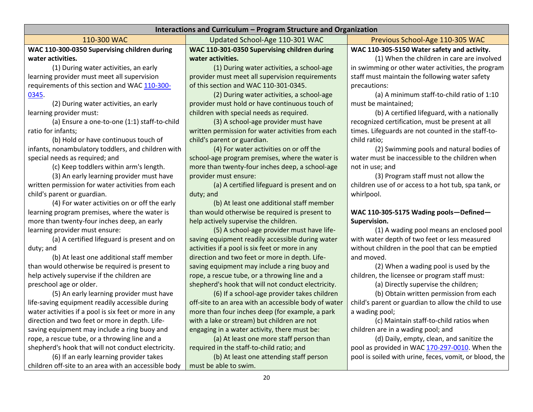| Interactions and Curriculum - Program Structure and Organization |                                                      |                                                        |
|------------------------------------------------------------------|------------------------------------------------------|--------------------------------------------------------|
| 110-300 WAC                                                      | Updated School-Age 110-301 WAC                       | Previous School-Age 110-305 WAC                        |
| WAC 110-300-0350 Supervising children during                     | WAC 110-301-0350 Supervising children during         | WAC 110-305-5150 Water safety and activity.            |
| water activities.                                                | water activities.                                    | (1) When the children in care are involved             |
| (1) During water activities, an early                            | (1) During water activities, a school-age            | in swimming or other water activities, the program     |
| learning provider must meet all supervision                      | provider must meet all supervision requirements      | staff must maintain the following water safety         |
| requirements of this section and WAC 110-300-                    | of this section and WAC 110-301-0345.                | precautions:                                           |
| 0345.                                                            | (2) During water activities, a school-age            | (a) A minimum staff-to-child ratio of 1:10             |
| (2) During water activities, an early                            | provider must hold or have continuous touch of       | must be maintained;                                    |
| learning provider must:                                          | children with special needs as required.             | (b) A certified lifeguard, with a nationally           |
| (a) Ensure a one-to-one (1:1) staff-to-child                     | (3) A school-age provider must have                  | recognized certification, must be present at all       |
| ratio for infants;                                               | written permission for water activities from each    | times. Lifeguards are not counted in the staff-to-     |
| (b) Hold or have continuous touch of                             | child's parent or guardian.                          | child ratio;                                           |
| infants, nonambulatory toddlers, and children with               | (4) For water activities on or off the               | (2) Swimming pools and natural bodies of               |
| special needs as required; and                                   | school-age program premises, where the water is      | water must be inaccessible to the children when        |
| (c) Keep toddlers within arm's length.                           | more than twenty-four inches deep, a school-age      | not in use; and                                        |
| (3) An early learning provider must have                         | provider must ensure:                                | (3) Program staff must not allow the                   |
| written permission for water activities from each                | (a) A certified lifeguard is present and on          | children use of or access to a hot tub, spa tank, or   |
| child's parent or guardian.                                      | duty; and                                            | whirlpool.                                             |
| (4) For water activities on or off the early                     | (b) At least one additional staff member             |                                                        |
| learning program premises, where the water is                    | than would otherwise be required is present to       | WAC 110-305-5175 Wading pools-Defined-                 |
| more than twenty-four inches deep, an early                      | help actively supervise the children.                | Supervision.                                           |
| learning provider must ensure:                                   | (5) A school-age provider must have life-            | (1) A wading pool means an enclosed pool               |
| (a) A certified lifeguard is present and on                      | saving equipment readily accessible during water     | with water depth of two feet or less measured          |
| duty; and                                                        | activities if a pool is six feet or more in any      | without children in the pool that can be emptied       |
| (b) At least one additional staff member                         | direction and two feet or more in depth. Life-       | and moved.                                             |
| than would otherwise be required is present to                   | saving equipment may include a ring buoy and         | (2) When a wading pool is used by the                  |
| help actively supervise if the children are                      | rope, a rescue tube, or a throwing line and a        | children, the licensee or program staff must:          |
| preschool age or older.                                          | shepherd's hook that will not conduct electricity.   | (a) Directly supervise the children;                   |
| (5) An early learning provider must have                         | (6) If a school-age provider takes children          | (b) Obtain written permission from each                |
| life-saving equipment readily accessible during                  | off-site to an area with an accessible body of water | child's parent or guardian to allow the child to use   |
| water activities if a pool is six feet or more in any            | more than four inches deep (for example, a park      | a wading pool;                                         |
| direction and two feet or more in depth. Life-                   | with a lake or stream) but children are not          | (c) Maintain staff-to-child ratios when                |
| saving equipment may include a ring buoy and                     | engaging in a water activity, there must be:         | children are in a wading pool; and                     |
| rope, a rescue tube, or a throwing line and a                    | (a) At least one more staff person than              | (d) Daily, empty, clean, and sanitize the              |
| shepherd's hook that will not conduct electricity.               | required in the staff-to-child ratio; and            | pool as provided in WAC 170-297-0010. When the         |
| (6) If an early learning provider takes                          | (b) At least one attending staff person              | pool is soiled with urine, feces, vomit, or blood, the |
| children off-site to an area with an accessible body             | must be able to swim.                                |                                                        |
| 20                                                               |                                                      |                                                        |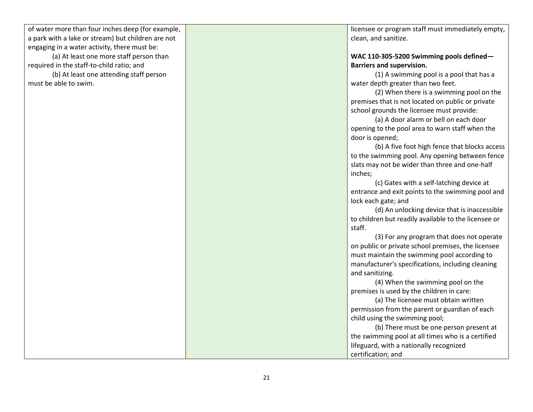| of water more than four inches deep (for example,  | licensee or program staff must immediately empty,    |
|----------------------------------------------------|------------------------------------------------------|
| a park with a lake or stream) but children are not | clean, and sanitize.                                 |
| engaging in a water activity, there must be:       |                                                      |
| (a) At least one more staff person than            | WAC 110-305-5200 Swimming pools defined-             |
| required in the staff-to-child ratio; and          | <b>Barriers and supervision.</b>                     |
| (b) At least one attending staff person            | (1) A swimming pool is a pool that has a             |
| must be able to swim.                              | water depth greater than two feet.                   |
|                                                    | (2) When there is a swimming pool on the             |
|                                                    | premises that is not located on public or private    |
|                                                    | school grounds the licensee must provide:            |
|                                                    | (a) A door alarm or bell on each door                |
|                                                    | opening to the pool area to warn staff when the      |
|                                                    | door is opened;                                      |
|                                                    | (b) A five foot high fence that blocks access        |
|                                                    | to the swimming pool. Any opening between fence      |
|                                                    | slats may not be wider than three and one-half       |
|                                                    | inches;                                              |
|                                                    | (c) Gates with a self-latching device at             |
|                                                    | entrance and exit points to the swimming pool and    |
|                                                    | lock each gate; and                                  |
|                                                    | (d) An unlocking device that is inaccessible         |
|                                                    | to children but readily available to the licensee or |
|                                                    | staff.                                               |
|                                                    | (3) For any program that does not operate            |
|                                                    | on public or private school premises, the licensee   |
|                                                    | must maintain the swimming pool according to         |
|                                                    | manufacturer's specifications, including cleaning    |
|                                                    | and sanitizing.                                      |
|                                                    | (4) When the swimming pool on the                    |
|                                                    | premises is used by the children in care:            |
|                                                    | (a) The licensee must obtain written                 |
|                                                    | permission from the parent or guardian of each       |
|                                                    | child using the swimming pool;                       |
|                                                    | (b) There must be one person present at              |
|                                                    | the swimming pool at all times who is a certified    |
|                                                    | lifeguard, with a nationally recognized              |
|                                                    | certification; and                                   |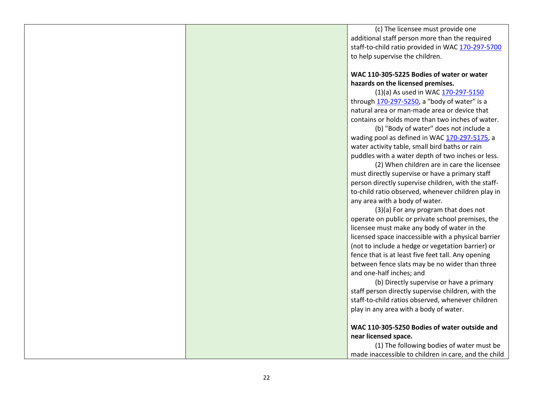(c) The licensee must provide one additional staff person more than the required staff-to-child ratio provided in WA[C 170-297-5700](https://apps.leg.wa.gov/wac/default.aspx?cite=170-297-5700) to help supervise the children.

## **WAC 110-305-5225 Bodies of water or water hazards on the licensed premises.**

(1)(a) As used in WAC [170-297-5150](https://apps.leg.wa.gov/wac/default.aspx?cite=170-297-5150) through  $170-297-5250$ , a "body of water" is a natural area or man-made area or device that contains or holds more than two inches of water.

(b) "Body of water" does not include a wading pool as defined in WA[C 170-297-5175,](https://apps.leg.wa.gov/wac/default.aspx?cite=170-297-5175) a water activity table, small bird baths or rain puddles with a water depth of two inches or less.

(2) When children are in care the licensee must directly supervise or have a primary staff person directly supervise children, with the staffto-child ratio observed, whenever children play in any area with a body of water.

(3)(a) For any program that does not operate on public or private school premises, the licensee must make any body of water in the licensed space inaccessible with a physical barrier (not to include a hedge or vegetation barrier) or fence that is at least five feet tall. Any opening between fence slats may be no wider than three and one-half inches; and

(b) Directly supervise or have a primary staff person directly supervise children, with the staff-to-child ratios observed, whenever children play in any area with a body of water.

#### **WAC 110-305-5250 Bodies of water outside and near licensed space.**

(1) The following bodies of water must be made inaccessible to children in care, and the child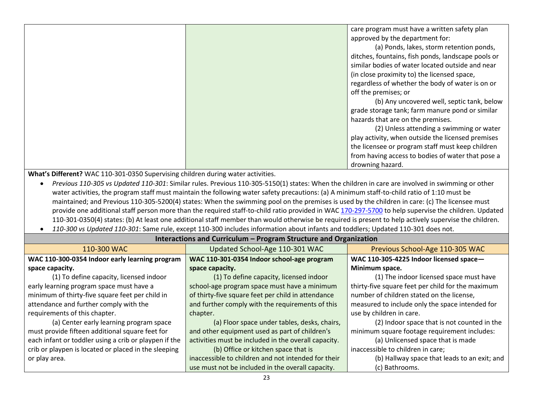| care program must have a written safety plan       |
|----------------------------------------------------|
| approved by the department for:                    |
| (a) Ponds, lakes, storm retention ponds,           |
| ditches, fountains, fish ponds, landscape pools or |
| similar bodies of water located outside and near   |
| (in close proximity to) the licensed space,        |
| regardless of whether the body of water is on or   |
| off the premises; or                               |
| (b) Any uncovered well, septic tank, below         |
| grade storage tank; farm manure pond or similar    |
| hazards that are on the premises.                  |
| (2) Unless attending a swimming or water           |
| play activity, when outside the licensed premises  |
| the licensee or program staff must keep children   |
| from having access to bodies of water that pose a  |
| drowning hazard.                                   |

**What's Different?** WAC 110-301-0350 Supervising children during water activities.

 *Previous 110-305 vs Updated 110-301*: Similar rules. Previous 110-305-5150(1) states: When the children in care are involved in swimming or other water activities, the program staff must maintain the following water safety precautions: (a) A minimum staff-to-child ratio of 1:10 must be maintained; and Previous 110-305-5200(4) states: When the swimming pool on the premises is used by the children in care: (c) The licensee must provide one additional staff person more than the required staff-to-child ratio provided in WAC [170-297-5700](https://apps.leg.wa.gov/wac/default.aspx?cite=170-297-5700) to help supervise the children. Updated 110-301-0350(4) states: (b) At least one additional staff member than would otherwise be required is present to help actively supervise the children.

**Interactions and Curriculum – Program Structure and Organization**

*110-300 vs Updated 110-301*: Same rule, except 110-300 includes information about infants and toddlers; Updated 110-301 does not.

| <u>meracuons and curriculum - Frogram su ucture and Organization</u> |                                                      |                                                   |
|----------------------------------------------------------------------|------------------------------------------------------|---------------------------------------------------|
| 110-300 WAC                                                          | Updated School-Age 110-301 WAC                       | Previous School-Age 110-305 WAC                   |
| WAC 110-300-0354 Indoor early learning program                       | WAC 110-301-0354 Indoor school-age program           | WAC 110-305-4225 Indoor licensed space-           |
| space capacity.                                                      | space capacity.                                      | Minimum space.                                    |
| (1) To define capacity, licensed indoor                              | (1) To define capacity, licensed indoor              | (1) The indoor licensed space must have           |
| early learning program space must have a                             | school-age program space must have a minimum         | thirty-five square feet per child for the maximum |
| minimum of thirty-five square feet per child in                      | of thirty-five square feet per child in attendance   | number of children stated on the license,         |
| attendance and further comply with the                               | and further comply with the requirements of this     | measured to include only the space intended for   |
| requirements of this chapter.                                        | chapter.                                             | use by children in care.                          |
| (a) Center early learning program space                              | (a) Floor space under tables, desks, chairs,         | (2) Indoor space that is not counted in the       |
| must provide fifteen additional square feet for                      | and other equipment used as part of children's       | minimum square footage requirement includes:      |
| each infant or toddler using a crib or playpen if the                | activities must be included in the overall capacity. | (a) Unlicensed space that is made                 |
| crib or playpen is located or placed in the sleeping                 | (b) Office or kitchen space that is                  | inaccessible to children in care;                 |
| or play area.                                                        | inaccessible to children and not intended for their  | (b) Hallway space that leads to an exit; and      |
|                                                                      | use must not be included in the overall capacity.    | (c) Bathrooms.                                    |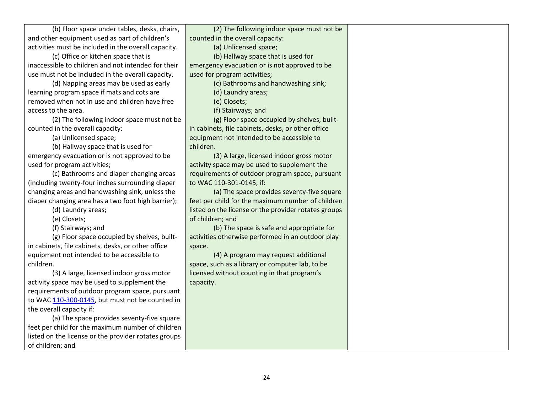(b) Floor space under tables, desks, chairs, and other equipment used as part of children's activities must be included in the overall capacity. (c) Office or kitchen space that is inaccessible to children and not intended for their use must not be included in the overall capacity. (d) Napping areas may be used as early

learning program space if mats and cots are removed when not in use and children have free access to the area.

(2) The following indoor space must not be counted in the overall capacity:

(a) Unlicensed space;

(b) Hallway space that is used for emergency evacuation or is not approved to be used for program activities;

(c) Bathrooms and diaper changing areas (including twenty-four inches surrounding diaper changing areas and handwashing sink, unless the diaper changing area has a two foot high barrier);

(d) Laundry areas;

(e) Closets;

(f) Stairways; and

(g) Floor space occupied by shelves, builtin cabinets, file cabinets, desks, or other office equipment not intended to be accessible to children.

(3) A large, licensed indoor gross motor activity space may be used to supplement the requirements of outdoor program space, pursuant to WAC [110-300-0145,](https://app.leg.wa.gov/wac/default.aspx?cite=110-300-0145) but must not be counted in the overall capacity if:

(a) The space provides seventy-five square feet per child for the maximum number of children listed on the license or the provider rotates groups of children; and

(2) The following indoor space must not be counted in the overall capacity:

(a) Unlicensed space;

(b) Hallway space that is used for

emergency evacuation or is not approved to be used for program activities;

(c) Bathrooms and handwashing sink;

(d) Laundry areas;

(e) Closets;

(f) Stairways; and

(g) Floor space occupied by shelves, builtin cabinets, file cabinets, desks, or other office equipment not intended to be accessible to children.

(3) A large, licensed indoor gross motor activity space may be used to supplement the requirements of outdoor program space, pursuant to WAC 110-301-0145, if:

(a) The space provides seventy-five square feet per child for the maximum number of children listed on the license or the provider rotates groups of children; and

(b) The space is safe and appropriate for activities otherwise performed in an outdoor play space.

(4) A program may request additional space, such as a library or computer lab, to be licensed without counting in that program's capacity.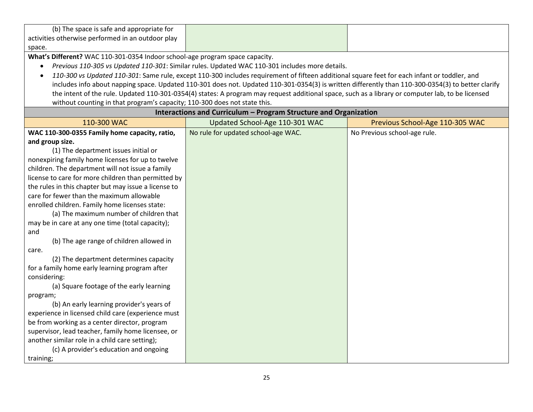| (b) The space is safe and appropriate for         |  |
|---------------------------------------------------|--|
| activities otherwise performed in an outdoor play |  |
| space.                                            |  |

**What's Different?** WAC 110-301-0354 Indoor school-age program space capacity.

- *Previous 110-305 vs Updated 110-301*: Similar rules. Updated WAC 110-301 includes more details.
- *110-300 vs Updated 110-301*: Same rule, except 110-300 includes requirement of fifteen additional square feet for each infant or toddler, and includes info about napping space. Updated 110-301 does not. Updated 110-301-0354(3) is written differently than 110-300-0354(3) to better clarify the intent of the rule. Updated 110-301-0354(4) states: A program may request additional space, such as a library or computer lab, to be licensed without counting in that program's capacity; 110-300 does not state this.

| Interactions and Curriculum - Program Structure and Organization |                                     |                                 |
|------------------------------------------------------------------|-------------------------------------|---------------------------------|
| 110-300 WAC                                                      | Updated School-Age 110-301 WAC      | Previous School-Age 110-305 WAC |
| WAC 110-300-0355 Family home capacity, ratio,                    | No rule for updated school-age WAC. | No Previous school-age rule.    |
| and group size.                                                  |                                     |                                 |
| (1) The department issues initial or                             |                                     |                                 |
| nonexpiring family home licenses for up to twelve                |                                     |                                 |
| children. The department will not issue a family                 |                                     |                                 |
| license to care for more children than permitted by              |                                     |                                 |
| the rules in this chapter but may issue a license to             |                                     |                                 |
| care for fewer than the maximum allowable                        |                                     |                                 |
| enrolled children. Family home licenses state:                   |                                     |                                 |
| (a) The maximum number of children that                          |                                     |                                 |
| may be in care at any one time (total capacity);                 |                                     |                                 |
| and                                                              |                                     |                                 |
| (b) The age range of children allowed in                         |                                     |                                 |
| care.                                                            |                                     |                                 |
| (2) The department determines capacity                           |                                     |                                 |
| for a family home early learning program after                   |                                     |                                 |
| considering:                                                     |                                     |                                 |
| (a) Square footage of the early learning                         |                                     |                                 |
| program;                                                         |                                     |                                 |
| (b) An early learning provider's years of                        |                                     |                                 |
| experience in licensed child care (experience must               |                                     |                                 |
| be from working as a center director, program                    |                                     |                                 |
| supervisor, lead teacher, family home licensee, or               |                                     |                                 |
| another similar role in a child care setting);                   |                                     |                                 |
| (c) A provider's education and ongoing                           |                                     |                                 |
| training;                                                        |                                     |                                 |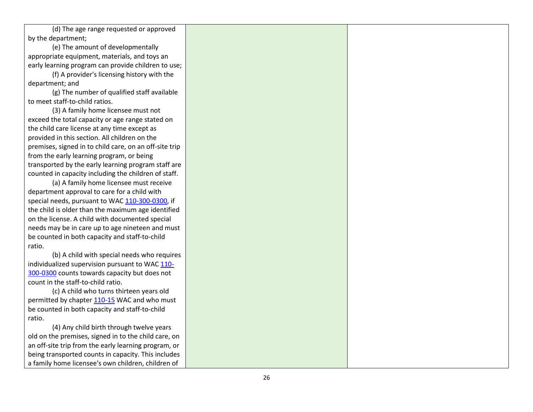(d) The age range requested or approved by the department;

(e) The amount of developmentally appropriate equipment, materials, and toys an early learning program can provide children to use;

(f) A provider's licensing history with the department; and

(g) The number of qualified staff available to meet staff -to -child ratios.

(3) A family home licensee must not exceed the total capacity or age range stated on the child care license at any time except as provided in this section. All children on the premises, signed in to child care, on an off -site trip from the early learning program, or being transported by the early learning program staff are counted in capacity including the children of staff.

(a) A family home licensee must receive department approval to care for a child with special needs, pursuant to WAC 110-300[-0300,](https://app.leg.wa.gov/wac/default.aspx?cite=110-300-0300) if the child is older than the maximum age identified on the license. A child with documented special needs may be in care up to age nineteen and must be counted in both capacity and staff -to -child ratio.

(b) A child with special needs who requires individualized supervision pursuant to WA[C 110](https://app.leg.wa.gov/wac/default.aspx?cite=110-300-0300)-300[-0300](https://app.leg.wa.gov/wac/default.aspx?cite=110-300-0300) counts towards capacity but does not count in the staff -to -child ratio.

(c) A child who turns thirteen years old permitted by chapte[r 110](https://app.leg.wa.gov/wac/default.aspx?cite=110-15)-15 WAC and who must be counted in both capacity and staff -to -child ratio.

(4) Any child birth through twelve years old on the premises, signed in to the child care, on an off -site trip from the early learning program, or being transported counts in capacity. This includes a family home licensee's own children, children of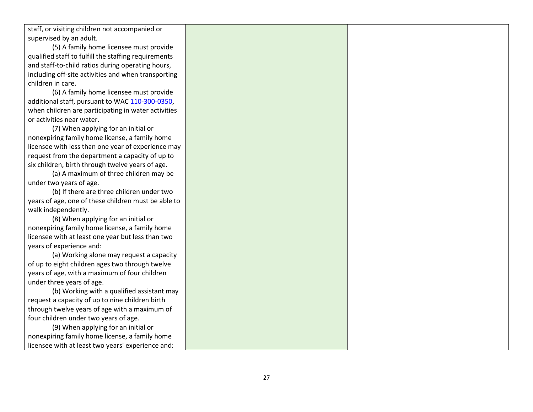staff, or visiting children not accompanied or supervised by an adult.

(5) A family home licensee must provide qualified staff to fulfill the staffing requirements and staff-to-child ratios during operating hours, including off-site activities and when transporting children in care.

(6) A family home licensee must provide additional staff, pursuant to WA[C 110-300-0350,](https://app.leg.wa.gov/wac/default.aspx?cite=110-300-0350) when children are participating in water activities or activities near water.

(7) When applying for an initial or nonexpiring family home license, a family home licensee with less than one year of experience may request from the department a capacity of up to six children, birth through twelve years of age.

(a) A maximum of three children may be under two years of age.

(b) If there are three children under two years of age, one of these children must be able to walk independently.

(8) When applying for an initial or nonexpiring family home license, a family home licensee with at least one year but less than two years of experience and:

(a) Working alone may request a capacity of up to eight children ages two through twelve years of age, with a maximum of four children under three years of age.

(b) Working with a qualified assistant may request a capacity of up to nine children birth through twelve years of age with a maximum of four children under two years of age.

(9) When applying for an initial or nonexpiring family home license, a family home licensee with at least two years' experience and: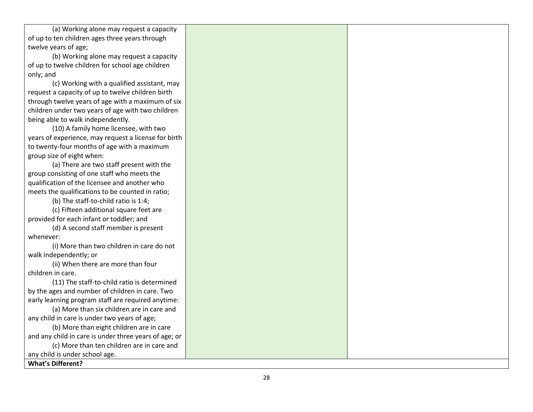(a) Working alone may request a capacity of up to ten children ages three years through twelve years of age;

(b) Working alone may request a capacity of up to twelve children for school age children only; and

(c) Working with a qualified assistant, may request a capacity of up to twelve children birth through twelve years of age with a maximum of six children under two years of age with two children being able to walk independently.

(10) A family home licensee, with two years of experience, may request a license for birth to twenty -four months of age with a maximum group size of eight when:

(a) There are two staff present with the group consisting of one staff who meets the qualification of the licensee and another who meets the qualifications to be counted in ratio;

(b) The staff -to -child ratio is 1:4;

(c) Fifteen additional square feet are provided for each infant or toddler; and

(d) A second staff member is present whenever:

(i) More than two children in care do not walk independently; or

(ii) When there are more than four children in care.

(11) The staff -to -child ratio is determined by the ages and number of children in care. Two early learning program staff are required anytime:

(a) More than six children are in care and any child in care is under two years of age;

(b) More than eight children are in care and any child in care is under three years of age; or

(c) More than ten children are in care and

any child is under school age.

**What's Different?**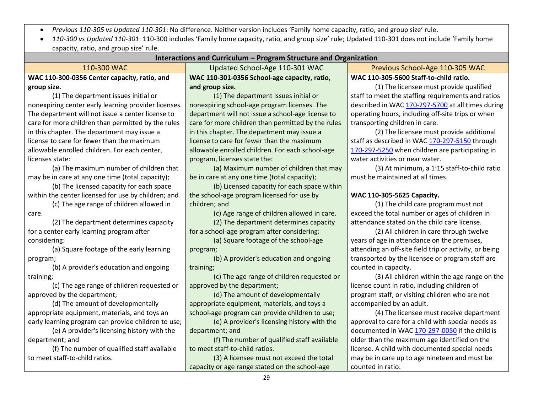*Previous 110-305 vs Updated 110-301*: No difference. Neither version includes 'Family home capacity, ratio, and group size' rule.

 *110-300 vs Updated 110-301*: 110-300 includes 'Family home capacity, ratio, and group size' rule; Updated 110-301 does not include 'Family home capacity, ratio, and group size' rule.

| Interactions and Curriculum – Program Structure and Organization |                                                    |                                                        |  |
|------------------------------------------------------------------|----------------------------------------------------|--------------------------------------------------------|--|
| 110-300 WAC                                                      | Updated School-Age 110-301 WAC                     | Previous School-Age 110-305 WAC                        |  |
| WAC 110-300-0356 Center capacity, ratio, and                     | WAC 110-301-0356 School-age capacity, ratio,       | WAC 110-305-5600 Staff-to-child ratio.                 |  |
| group size.                                                      | and group size.                                    | (1) The licensee must provide qualified                |  |
| (1) The department issues initial or                             | (1) The department issues initial or               | staff to meet the staffing requirements and ratios     |  |
| nonexpiring center early learning provider licenses.             | nonexpiring school-age program licenses. The       | described in WAC 170-297-5700 at all times during      |  |
| The department will not issue a center license to                | department will not issue a school-age license to  | operating hours, including off-site trips or when      |  |
| care for more children than permitted by the rules               | care for more children than permitted by the rules | transporting children in care.                         |  |
| in this chapter. The department may issue a                      | in this chapter. The department may issue a        | (2) The licensee must provide additional               |  |
| license to care for fewer than the maximum                       | license to care for fewer than the maximum         | staff as described in WAC 170-297-5150 through         |  |
| allowable enrolled children. For each center,                    | allowable enrolled children. For each school-age   | 170-297-5250 when children are participating in        |  |
| licenses state:                                                  | program, licenses state the:                       | water activities or near water.                        |  |
| (a) The maximum number of children that                          | (a) Maximum number of children that may            | (3) At minimum, a 1:15 staff-to-child ratio            |  |
| may be in care at any one time (total capacity);                 | be in care at any one time (total capacity);       | must be maintained at all times.                       |  |
| (b) The licensed capacity for each space                         | (b) Licensed capacity for each space within        |                                                        |  |
| within the center licensed for use by children; and              | the school-age program licensed for use by         | WAC 110-305-5625 Capacity.                             |  |
| (c) The age range of children allowed in                         | children; and                                      | (1) The child care program must not                    |  |
| care.                                                            | (c) Age range of children allowed in care.         | exceed the total number or ages of children in         |  |
| (2) The department determines capacity                           | (2) The department determines capacity             | attendance stated on the child care license.           |  |
| for a center early learning program after                        | for a school-age program after considering:        | (2) All children in care through twelve                |  |
| considering:                                                     | (a) Square footage of the school-age               | years of age in attendance on the premises,            |  |
| (a) Square footage of the early learning                         | program;                                           | attending an off-site field trip or activity, or being |  |
| program;                                                         | (b) A provider's education and ongoing             | transported by the licensee or program staff are       |  |
| (b) A provider's education and ongoing                           | training;                                          | counted in capacity.                                   |  |
| training;                                                        | (c) The age range of children requested or         | (3) All children within the age range on the           |  |
| (c) The age range of children requested or                       | approved by the department;                        | license count in ratio, including children of          |  |
| approved by the department;                                      | (d) The amount of developmentally                  | program staff, or visiting children who are not        |  |
| (d) The amount of developmentally                                | appropriate equipment, materials, and toys a       | accompanied by an adult.                               |  |
| appropriate equipment, materials, and toys an                    | school-age program can provide children to use;    | (4) The licensee must receive department               |  |
| early learning program can provide children to use;              | (e) A provider's licensing history with the        | approval to care for a child with special needs as     |  |
| (e) A provider's licensing history with the                      | department; and                                    | documented in WAC 170-297-0050 if the child is         |  |
| department; and                                                  | (f) The number of qualified staff available        | older than the maximum age identified on the           |  |
| (f) The number of qualified staff available                      | to meet staff-to-child ratios.                     | license. A child with documented special needs         |  |
| to meet staff-to-child ratios.                                   | (3) A licensee must not exceed the total           | may be in care up to age nineteen and must be          |  |
|                                                                  | capacity or age range stated on the school-age     | counted in ratio.                                      |  |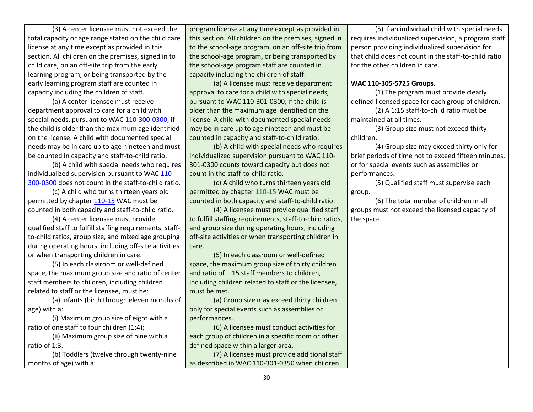(3) A center licensee must not exceed the total capacity or age range stated on the child care license at any time except as provided in this section. All children on the premises, signed in to child care, on an off-site trip from the early learning program, or being transported by the early learning program staff are counted in capacity including the children of staff.

(a) A center licensee must receive department approval to care for a child with special needs, pursuant to WAC [110-300-0300,](https://app.leg.wa.gov/wac/default.aspx?cite=110-300-0300) if the child is older than the maximum age identified on the license. A child with documented special needs may be in care up to age nineteen and must be counted in capacity and staff-to-child ratio.

(b) A child with special needs who requires individualized supervision pursuant to WA[C 110-](https://app.leg.wa.gov/wac/default.aspx?cite=110-300-0300) [300-0300](https://app.leg.wa.gov/wac/default.aspx?cite=110-300-0300) does not count in the staff-to-child ratio.

(c) A child who turns thirteen years old permitted by chapte[r 110-15](https://app.leg.wa.gov/wac/default.aspx?cite=110-15) WAC must be counted in both capacity and staff-to-child ratio.

(4) A center licensee must provide qualified staff to fulfill staffing requirements, staffto-child ratios, group size, and mixed age grouping during operating hours, including off-site activities or when transporting children in care.

(5) In each classroom or well-defined space, the maximum group size and ratio of center staff members to children, including children related to staff or the licensee, must be:

(a) Infants (birth through eleven months of age) with a:

(i) Maximum group size of eight with a ratio of one staff to four children (1:4);

(ii) Maximum group size of nine with a ratio of 1:3.

(b) Toddlers (twelve through twenty-nine months of age) with a:

program license at any time except as provided in this section. All children on the premises, signed in to the school-age program, on an off-site trip from the school-age program, or being transported by the school-age program staff are counted in capacity including the children of staff.

(a) A licensee must receive department approval to care for a child with special needs, pursuant to WAC 110-301-0300, if the child is older than the maximum age identified on the license. A child with documented special needs may be in care up to age nineteen and must be counted in capacity and staff-to-child ratio.

(b) A child with special needs who requires individualized supervision pursuant to WAC 110- 301-0300 counts toward capacity but does not count in the staff-to-child ratio.

(c) A child who turns thirteen years old permitted by chapter [110-15](https://app.leg.wa.gov/wac/default.aspx?cite=110-15) WAC must be counted in both capacity and staff-to-child ratio.

(4) A licensee must provide qualified staff to fulfill staffing requirements, staff-to-child ratios, and group size during operating hours, including off-site activities or when transporting children in care.

(5) In each classroom or well-defined space, the maximum group size of thirty children and ratio of 1:15 staff members to children, including children related to staff or the licensee, must be met.

(a) Group size may exceed thirty children only for special events such as assemblies or performances.

(6) A licensee must conduct activities for each group of children in a specific room or other defined space within a larger area.

(7) A licensee must provide additional staff as described in WAC 110-301-0350 when children

(5) If an individual child with special needs requires individualized supervision, a program staff person providing individualized supervision for that child does not count in the staff-to-child ratio for the other children in care.

#### **WAC 110-305-5725 Groups.**

(1) The program must provide clearly defined licensed space for each group of children.

(2) A 1:15 staff-to-child ratio must be maintained at all times.

(3) Group size must not exceed thirty children.

(4) Group size may exceed thirty only for brief periods of time not to exceed fifteen minutes, or for special events such as assemblies or performances.

(5) Qualified staff must supervise each group.

(6) The total number of children in all groups must not exceed the licensed capacity of the space.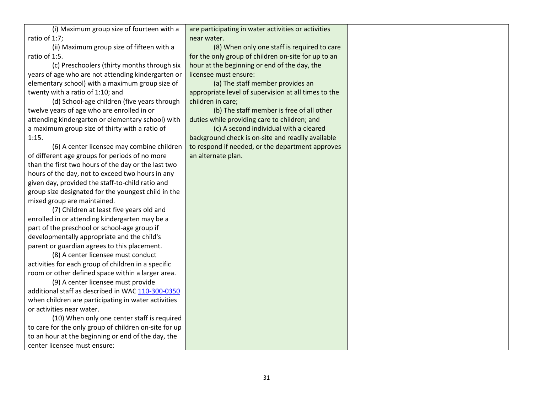(i) Maximum group size of fourteen with a ratio of 1:7;

(ii) Maximum group size of fifteen with a ratio of 1:5.

(c) Preschoolers (thirty months through six years of age who are not attending kindergarten or elementary school) with a maximum group size of twenty with a ratio of 1:10; and

(d) School-age children (five years through twelve years of age who are enrolled in or attending kindergarten or elementary school) with a maximum group size of thirty with a ratio of 1:15.

(6) A center licensee may combine children of different age groups for periods of no more than the first two hours of the day or the last two hours of the day, not to exceed two hours in any given day, provided the staff-to-child ratio and group size designated for the youngest child in the mixed group are maintained.

(7) Children at least five years old and enrolled in or attending kindergarten may be a part of the preschool or school-age group if developmentally appropriate and the child's parent or guardian agrees to this placement.

(8) A center licensee must conduct activities for each group of children in a specific room or other defined space within a larger area.

(9) A center licensee must provide additional staff as described in WAC [110-300-0350](https://app.leg.wa.gov/wac/default.aspx?cite=110-300-0350) when children are participating in water activities or activities near water.

(10) When only one center staff is required to care for the only group of children on-site for up to an hour at the beginning or end of the day, the center licensee must ensure:

are participating in water activities or activities near water.

(8) When only one staff is required to care for the only group of children on-site for up to an hour at the beginning or end of the day, the licensee must ensure:

(a) The staff member provides an appropriate level of supervision at all times to the children in care;

(b) The staff member is free of all other duties while providing care to children; and

(c) A second individual with a cleared background check is on-site and readily available to respond if needed, or the department approves an alternate plan.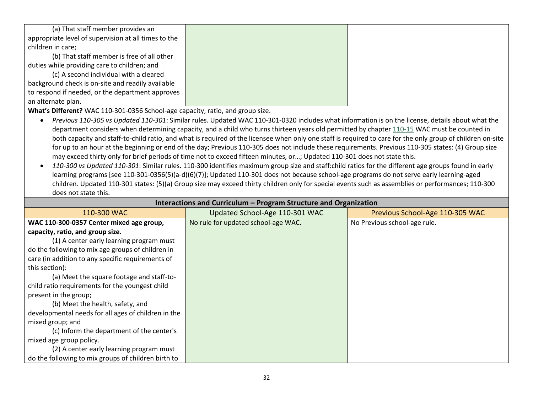| (a) That staff member provides an                    |  |
|------------------------------------------------------|--|
| appropriate level of supervision at all times to the |  |
| children in care;                                    |  |
| (b) That staff member is free of all other           |  |
| duties while providing care to children; and         |  |
| (c) A second individual with a cleared               |  |
| background check is on-site and readily available    |  |
| to respond if needed, or the department approves     |  |
| an alternate plan.                                   |  |

**What's Different?** WAC 110-301-0356 School-age capacity, ratio, and group size.

- *Previous 110-305 vs Updated 110-301*: Similar rules. Updated WAC 110-301-0320 includes what information is on the license, details about what the department considers when determining capacity, and a child who turns thirteen years old permitted by chapte[r 110-15](https://app.leg.wa.gov/wac/default.aspx?cite=110-15) WAC must be counted in both capacity and staff-to-child ratio, and what is required of the licensee when only one staff is required to care for the only group of children on-site for up to an hour at the beginning or end of the day; Previous 110-305 does not include these requirements. Previous 110-305 states: (4) Group size may exceed thirty only for brief periods of time not to exceed fifteen minutes, or…; Updated 110-301 does not state this.
- *110-300 vs Updated 110-301*: Similar rules. 110-300 identifies maximum group size and staff:child ratios for the different age groups found in early learning programs [see 110-301-0356(5)(a-d)(6)(7)]; Updated 110-301 does not because school-age programs do not serve early learning-aged children. Updated 110-301 states: (5)(a) Group size may exceed thirty children only for special events such as assemblies or performances; 110-300 does not state this.

| Interactions and Curriculum – Program Structure and Organization |                                     |                                 |  |
|------------------------------------------------------------------|-------------------------------------|---------------------------------|--|
| 110-300 WAC                                                      | Updated School-Age 110-301 WAC      | Previous School-Age 110-305 WAC |  |
| WAC 110-300-0357 Center mixed age group,                         | No rule for updated school-age WAC. | No Previous school-age rule.    |  |
| capacity, ratio, and group size.                                 |                                     |                                 |  |
| (1) A center early learning program must                         |                                     |                                 |  |
| do the following to mix age groups of children in                |                                     |                                 |  |
| care (in addition to any specific requirements of                |                                     |                                 |  |
| this section):                                                   |                                     |                                 |  |
| (a) Meet the square footage and staff-to-                        |                                     |                                 |  |
| child ratio requirements for the youngest child                  |                                     |                                 |  |
| present in the group;                                            |                                     |                                 |  |
| (b) Meet the health, safety, and                                 |                                     |                                 |  |
| developmental needs for all ages of children in the              |                                     |                                 |  |
| mixed group; and                                                 |                                     |                                 |  |
| (c) Inform the department of the center's                        |                                     |                                 |  |
| mixed age group policy.                                          |                                     |                                 |  |
| (2) A center early learning program must                         |                                     |                                 |  |
| do the following to mix groups of children birth to              |                                     |                                 |  |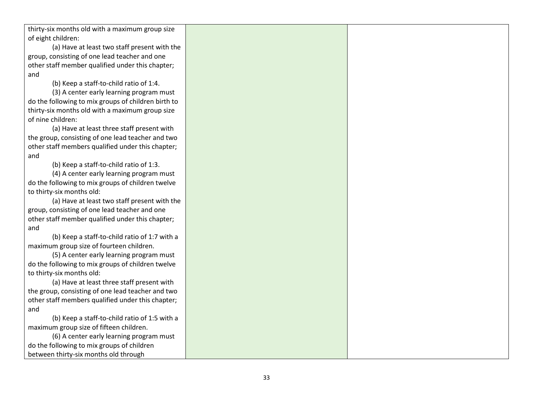thirty -six months old with a maximum group size of eight children:

(a) Have at least two staff present with the group, consisting of one lead teacher and one other staff member qualified under this chapter; and

(b) Keep a staff -to -child ratio of 1:4.

(3) A center early learning program must do the following to mix groups of children birth to thirty -six months old with a maximum group size of nine children:

(a) Have at least three staff present with the group, consisting of one lead teacher and two other staff members qualified under this chapter; and

(b) Keep a staff -to -child ratio of 1:3.

(4) A center early learning program must do the following to mix groups of children twelve to thirty -six months old:

(a) Have at least two staff present with the group, consisting of one lead teacher and one other staff member qualified under this chapter; and

(b) Keep a staff -to -child ratio of 1:7 with a maximum group size of fourteen children.

(5) A center early learning program must do the following to mix groups of children twelve to thirty -six months old:

(a) Have at least three staff present with the group, consisting of one lead teacher and two other staff members qualified under this chapter; and

(b) Keep a staff -to -child ratio of 1:5 with a maximum group size of fifteen children.

(6) A center early learning program must do the following to mix groups of children between thirty -six months old through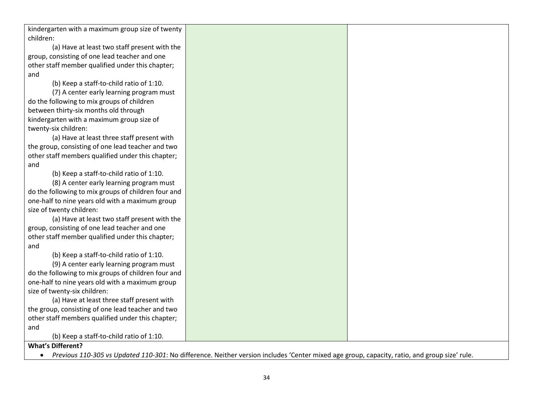kindergarten with a maximum group size of twenty children:

(a) Have at least two staff present with the group, consisting of one lead teacher and one other staff member qualified under this chapter; and

(b) Keep a staff-to-child ratio of 1:10.

(7) A center early learning program must do the following to mix groups of children between thirty-six months old through kindergarten with a maximum group size of twenty-six children:

(a) Have at least three staff present with the group, consisting of one lead teacher and two other staff members qualified under this chapter; and

(b) Keep a staff-to-child ratio of 1:10.

(8) A center early learning program must do the following to mix groups of children four and one-half to nine years old with a maximum group size of twenty children:

(a) Have at least two staff present with the group, consisting of one lead teacher and one other staff member qualified under this chapter; and

(b) Keep a staff-to-child ratio of 1:10.

(9) A center early learning program must do the following to mix groups of children four and one-half to nine years old with a maximum group size of twenty-six children:

(a) Have at least three staff present with the group, consisting of one lead teacher and two other staff members qualified under this chapter; and

(b) Keep a staff-to-child ratio of 1:10.

# **What's Different?**

*Previous 110-305 vs Updated 110-301*: No difference. Neither version includes 'Center mixed age group, capacity, ratio, and group size' rule.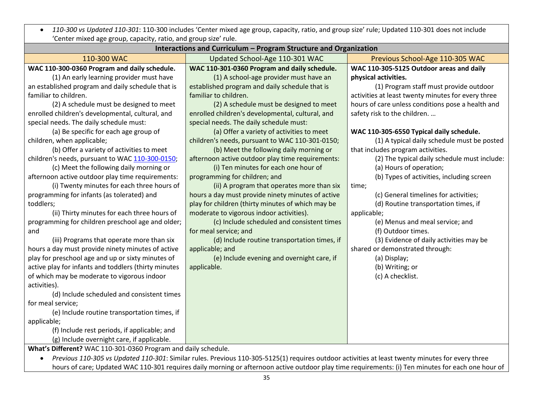*110-300 vs Updated 110-301*: 110-300 includes 'Center mixed age group, capacity, ratio, and group size' rule; Updated 110-301 does not include 'Center mixed age group, capacity, ratio, and group size' rule.

| Interactions and Curriculum - Program Structure and Organization |                                                                                                                                                    |                                                    |  |  |
|------------------------------------------------------------------|----------------------------------------------------------------------------------------------------------------------------------------------------|----------------------------------------------------|--|--|
| 110-300 WAC                                                      | Updated School-Age 110-301 WAC                                                                                                                     | Previous School-Age 110-305 WAC                    |  |  |
| WAC 110-300-0360 Program and daily schedule.                     | WAC 110-301-0360 Program and daily schedule.                                                                                                       | WAC 110-305-5125 Outdoor areas and daily           |  |  |
| (1) An early learning provider must have                         | (1) A school-age provider must have an                                                                                                             | physical activities.                               |  |  |
| an established program and daily schedule that is                | established program and daily schedule that is                                                                                                     | (1) Program staff must provide outdoor             |  |  |
| familiar to children.                                            | familiar to children.                                                                                                                              | activities at least twenty minutes for every three |  |  |
| (2) A schedule must be designed to meet                          | (2) A schedule must be designed to meet                                                                                                            | hours of care unless conditions pose a health and  |  |  |
| enrolled children's developmental, cultural, and                 | enrolled children's developmental, cultural, and                                                                                                   | safety risk to the children.                       |  |  |
| special needs. The daily schedule must:                          | special needs. The daily schedule must:                                                                                                            |                                                    |  |  |
| (a) Be specific for each age group of                            | (a) Offer a variety of activities to meet                                                                                                          | WAC 110-305-6550 Typical daily schedule.           |  |  |
| children, when applicable;                                       | children's needs, pursuant to WAC 110-301-0150;                                                                                                    | (1) A typical daily schedule must be posted        |  |  |
| (b) Offer a variety of activities to meet                        | (b) Meet the following daily morning or                                                                                                            | that includes program activities.                  |  |  |
| children's needs, pursuant to WAC 110-300-0150;                  | afternoon active outdoor play time requirements:                                                                                                   | (2) The typical daily schedule must include:       |  |  |
| (c) Meet the following daily morning or                          | (i) Ten minutes for each one hour of                                                                                                               | (a) Hours of operation;                            |  |  |
| afternoon active outdoor play time requirements:                 | programming for children; and                                                                                                                      | (b) Types of activities, including screen          |  |  |
| (i) Twenty minutes for each three hours of                       | (ii) A program that operates more than six                                                                                                         | time;                                              |  |  |
| programming for infants (as tolerated) and                       | hours a day must provide ninety minutes of active                                                                                                  | (c) General timelines for activities;              |  |  |
| toddlers;                                                        | play for children (thirty minutes of which may be                                                                                                  | (d) Routine transportation times, if               |  |  |
| (ii) Thirty minutes for each three hours of                      | moderate to vigorous indoor activities).                                                                                                           | applicable;                                        |  |  |
| programming for children preschool age and older;                | (c) Include scheduled and consistent times                                                                                                         | (e) Menus and meal service; and                    |  |  |
| and                                                              | for meal service; and                                                                                                                              | (f) Outdoor times.                                 |  |  |
| (iii) Programs that operate more than six                        | (d) Include routine transportation times, if                                                                                                       | (3) Evidence of daily activities may be            |  |  |
| hours a day must provide ninety minutes of active                | applicable; and                                                                                                                                    | shared or demonstrated through:                    |  |  |
| play for preschool age and up or sixty minutes of                | (e) Include evening and overnight care, if                                                                                                         | (a) Display;                                       |  |  |
| active play for infants and toddlers (thirty minutes             | applicable.                                                                                                                                        | (b) Writing; or                                    |  |  |
| of which may be moderate to vigorous indoor                      |                                                                                                                                                    | (c) A checklist.                                   |  |  |
| activities).                                                     |                                                                                                                                                    |                                                    |  |  |
| (d) Include scheduled and consistent times                       |                                                                                                                                                    |                                                    |  |  |
| for meal service;                                                |                                                                                                                                                    |                                                    |  |  |
| (e) Include routine transportation times, if                     |                                                                                                                                                    |                                                    |  |  |
| applicable;                                                      |                                                                                                                                                    |                                                    |  |  |
| (f) Include rest periods, if applicable; and                     |                                                                                                                                                    |                                                    |  |  |
| (g) Include overnight care, if applicable.                       |                                                                                                                                                    |                                                    |  |  |
| What's Different? WAC 110-301-0360 Program and daily schedule.   |                                                                                                                                                    |                                                    |  |  |
|                                                                  | Previous 110-305 vs Updated 110-301: Similar rules. Previous 110-305-5125(1) requires outdoor activities at least twenty minutes for every three   |                                                    |  |  |
|                                                                  | hours of care; Updated WAC 110-301 requires daily morning or afternoon active outdoor play time requirements: (i) Ten minutes for each one hour of |                                                    |  |  |

35